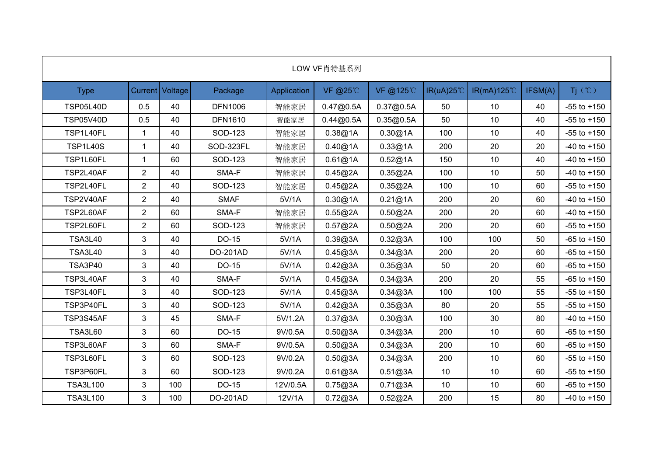|                  |                |                 |                 |             | LOW VF肖特基系列 |           |                     |                 |         |                 |
|------------------|----------------|-----------------|-----------------|-------------|-------------|-----------|---------------------|-----------------|---------|-----------------|
| <b>Type</b>      |                | Current Voltage | Package         | Application | VF @25℃     | VF @125°C | $IR(uA)25^{\circ}C$ | IR(mA)125℃      | IFSM(A) | Ti (°C)         |
| <b>TSP05L40D</b> | 0.5            | 40              | <b>DFN1006</b>  | 智能家居        | 0.47@0.5A   | 0.37@0.5A | 50                  | 10              | 40      | $-55$ to $+150$ |
| <b>TSP05V40D</b> | 0.5            | 40              | <b>DFN1610</b>  | 智能家居        | 0.44@0.5A   | 0.35@0.5A | 50                  | 10 <sup>1</sup> | 40      | $-55$ to $+150$ |
| TSP1L40FL        | $\mathbf{1}$   | 40              | SOD-123         | 智能家居        | 0.38@1A     | 0.30@1A   | 100                 | 10 <sup>1</sup> | 40      | $-55$ to $+150$ |
| <b>TSP1L40S</b>  |                | 40              | SOD-323FL       | 智能家居        | 0.40@1A     | 0.33@1A   | 200                 | 20              | 20      | $-40$ to $+150$ |
| TSP1L60FL        |                | 60              | SOD-123         | 智能家居        | 0.61@1A     | 0.52@1A   | 150                 | 10              | 40      | $-40$ to $+150$ |
| TSP2L40AF        | $\overline{2}$ | 40              | SMA-F           | 智能家居        | 0.45@2A     | 0.35@2A   | 100                 | 10              | 50      | $-40$ to $+150$ |
| TSP2L40FL        | $\overline{2}$ | 40              | SOD-123         | 智能家居        | 0.45@2A     | 0.35@2A   | 100                 | 10              | 60      | $-55$ to $+150$ |
| TSP2V40AF        | $\overline{2}$ | 40              | <b>SMAF</b>     | 5V/1A       | 0.30@1A     | 0.21@1A   | 200                 | 20              | 60      | $-40$ to $+150$ |
| TSP2L60AF        | $\overline{2}$ | 60              | SMA-F           | 智能家居        | 0.55@2A     | 0.50@2A   | 200                 | 20              | 60      | $-40$ to $+150$ |
| TSP2L60FL        | $\overline{2}$ | 60              | SOD-123         | 智能家居        | 0.57@2A     | 0.50@2A   | 200                 | 20              | 60      | $-55$ to $+150$ |
| <b>TSA3L40</b>   | 3              | 40              | DO-15           | 5V/1A       | 0.39@3A     | 0.32@3A   | 100                 | 100             | 50      | $-65$ to $+150$ |
| <b>TSA3L40</b>   | 3              | 40              | DO-201AD        | 5V/1A       | 0.45@3A     | 0.34@3A   | 200                 | 20              | 60      | $-65$ to $+150$ |
| <b>TSA3P40</b>   | 3              | 40              | DO-15           | 5V/1A       | 0.42@3A     | 0.35@3A   | 50                  | 20              | 60      | $-65$ to $+150$ |
| TSP3L40AF        | 3              | 40              | SMA-F           | 5V/1A       | 0.45@3A     | 0.34@3A   | 200                 | 20              | 55      | $-65$ to $+150$ |
| TSP3L40FL        | 3              | 40              | SOD-123         | 5V/1A       | 0.45@3A     | 0.34@3A   | 100                 | 100             | 55      | $-55$ to $+150$ |
| TSP3P40FL        | 3              | 40              | SOD-123         | 5V/1A       | 0.42@3A     | 0.35@3A   | 80                  | 20              | 55      | $-55$ to $+150$ |
| TSP3S45AF        | 3              | 45              | SMA-F           | 5V/1.2A     | 0.37@3A     | 0.30@3A   | 100                 | 30              | 80      | $-40$ to $+150$ |
| <b>TSA3L60</b>   | 3              | 60              | DO-15           | 9V/0.5A     | 0.50@3A     | 0.34@3A   | 200                 | $10$            | 60      | $-65$ to $+150$ |
| TSP3L60AF        | 3              | 60              | SMA-F           | 9V/0.5A     | 0.50@3A     | 0.34@3A   | 200                 | 10              | 60      | $-65$ to $+150$ |
| TSP3L60FL        | 3              | 60              | SOD-123         | 9V/0.2A     | 0.50@3A     | 0.34@3A   | 200                 | 10              | 60      | $-55$ to $+150$ |
| TSP3P60FL        | 3              | 60              | SOD-123         | 9V/0.2A     | 0.61@3A     | 0.51@3A   | 10                  | 10              | 60      | $-55$ to $+150$ |
| <b>TSA3L100</b>  | 3              | 100             | DO-15           | 12V/0.5A    | 0.75@3A     | 0.71@3A   | 10                  | 10              | 60      | $-65$ to $+150$ |
| <b>TSA3L100</b>  | 3              | 100             | <b>DO-201AD</b> | 12V/1A      | 0.72@3A     | 0.52@2A   | 200                 | 15              | 80      | $-40$ to $+150$ |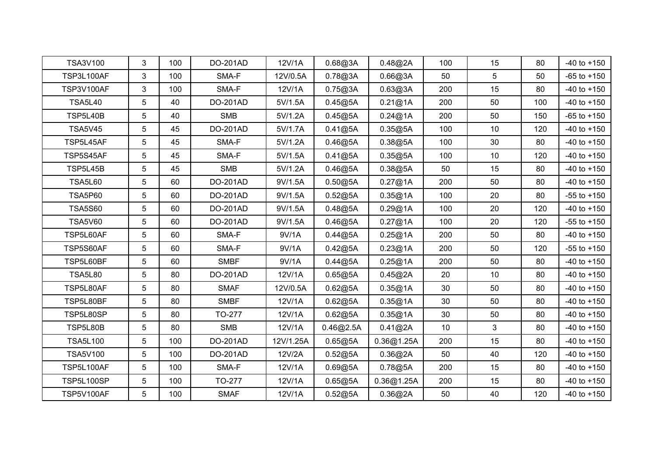| TSA3V100          | 3 <sup>1</sup> | 100 | DO-201AD    | 12V/1A    | 0.68@3A   | 0.48@2A    | 100 | 15           | 80  | $-40$ to $+150$ |
|-------------------|----------------|-----|-------------|-----------|-----------|------------|-----|--------------|-----|-----------------|
| TSP3L100AF        | 3              | 100 | SMA-F       | 12V/0.5A  | 0.78@3A   | 0.66@3A    | 50  | 5            | 50  | $-65$ to $+150$ |
| TSP3V100AF        | 3              | 100 | SMA-F       | 12V/1A    | 0.75@3A   | 0.63@3A    | 200 | 15           | 80  | $-40$ to $+150$ |
| <b>TSA5L40</b>    | 5              | 40  | DO-201AD    | 5V/1.5A   | 0.45@5A   | 0.21@1A    | 200 | 50           | 100 | $-40$ to $+150$ |
| <b>TSP5L40B</b>   | 5              | 40  | <b>SMB</b>  | 5V/1.2A   | 0.45@5A   | 0.24@1A    | 200 | 50           | 150 | $-65$ to $+150$ |
| <b>TSA5V45</b>    | 5              | 45  | DO-201AD    | 5V/1.7A   | 0.41@5A   | 0.35@5A    | 100 | 10           | 120 | $-40$ to $+150$ |
| TSP5L45AF         | 5              | 45  | SMA-F       | 5V/1.2A   | 0.46@5A   | 0.38@5A    | 100 | 30           | 80  | $-40$ to $+150$ |
| TSP5S45AF         | 5              | 45  | SMA-F       | 5V/1.5A   | 0.41@5A   | 0.35@5A    | 100 | 10           | 120 | $-40$ to $+150$ |
| TSP5L45B          | 5              | 45  | <b>SMB</b>  | 5V/1.2A   | 0.46@5A   | 0.38@5A    | 50  | 15           | 80  | $-40$ to $+150$ |
| <b>TSA5L60</b>    | 5              | 60  | DO-201AD    | 9V/1.5A   | 0.50@5A   | 0.27@1A    | 200 | 50           | 80  | $-40$ to $+150$ |
| <b>TSA5P60</b>    | 5              | 60  | DO-201AD    | 9V/1.5A   | 0.52@5A   | 0.35@1A    | 100 | 20           | 80  | $-55$ to $+150$ |
| <b>TSA5S60</b>    | 5              | 60  | DO-201AD    | 9V/1.5A   | 0.48@5A   | 0.29@1A    | 100 | 20           | 120 | $-40$ to $+150$ |
| <b>TSA5V60</b>    | 5              | 60  | DO-201AD    | 9V/1.5A   | 0.46@5A   | 0.27@1A    | 100 | 20           | 120 | $-55$ to $+150$ |
| TSP5L60AF         | 5              | 60  | SMA-F       | 9V/1A     | 0.44@5A   | 0.25@1A    | 200 | 50           | 80  | $-40$ to $+150$ |
| TSP5S60AF         | 5              | 60  | SMA-F       | 9V/1A     | 0.42@5A   | 0.23@1A    | 200 | 50           | 120 | $-55$ to $+150$ |
| TSP5L60BF         | 5              | 60  | <b>SMBF</b> | 9V/1A     | 0.44@5A   | 0.25@1A    | 200 | 50           | 80  | $-40$ to $+150$ |
| <b>TSA5L80</b>    | 5              | 80  | DO-201AD    | 12V/1A    | 0.65@5A   | 0.45@2A    | 20  | 10           | 80  | $-40$ to $+150$ |
| TSP5L80AF         | 5              | 80  | <b>SMAF</b> | 12V/0.5A  | 0.62@5A   | 0.35@1A    | 30  | 50           | 80  | $-40$ to $+150$ |
| TSP5L80BF         | 5              | 80  | <b>SMBF</b> | 12V/1A    | 0.62@5A   | 0.35@1A    | 30  | 50           | 80  | $-40$ to $+150$ |
| TSP5L80SP         | 5              | 80  | TO-277      | 12V/1A    | 0.62@5A   | 0.35@1A    | 30  | 50           | 80  | $-40$ to $+150$ |
| TSP5L80B          | 5              | 80  | <b>SMB</b>  | 12V/1A    | 0.46@2.5A | 0.41@2A    | 10  | $\mathbf{3}$ | 80  | $-40$ to $+150$ |
| <b>TSA5L100</b>   | 5              | 100 | DO-201AD    | 12V/1.25A | 0.65@5A   | 0.36@1.25A | 200 | 15           | 80  | $-40$ to $+150$ |
| <b>TSA5V100</b>   | 5              | 100 | DO-201AD    | 12V/2A    | 0.52@5A   | 0.36@2A    | 50  | 40           | 120 | $-40$ to $+150$ |
| <b>TSP5L100AF</b> | 5              | 100 | SMA-F       | 12V/1A    | 0.69@5A   | 0.78@5A    | 200 | 15           | 80  | $-40$ to $+150$ |
| <b>TSP5L100SP</b> | 5              | 100 | TO-277      | 12V/1A    | 0.65@5A   | 0.36@1.25A | 200 | 15           | 80  | $-40$ to $+150$ |
| TSP5V100AF        | 5              | 100 | <b>SMAF</b> | 12V/1A    | 0.52@5A   | 0.36@2A    | 50  | 40           | 120 | $-40$ to $+150$ |
|                   |                |     |             |           |           |            |     |              |     |                 |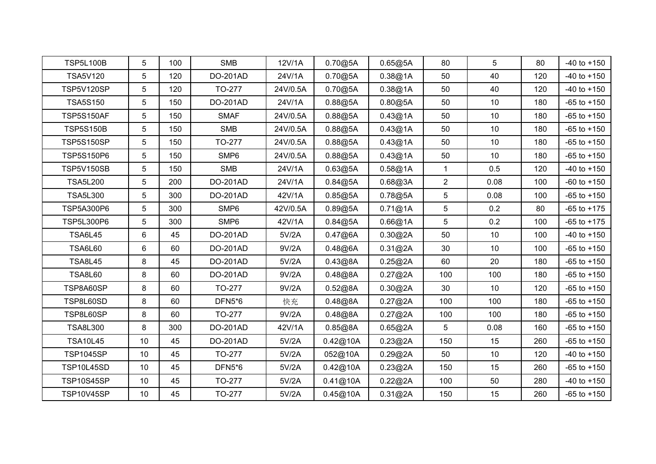| <b>TSP5L100B</b>  | 5               | 100 | <b>SMB</b>       | 12V/1A   | 0.70@5A  | 0.65@5A | 80             | 5    | 80  | $-40$ to $+150$ |
|-------------------|-----------------|-----|------------------|----------|----------|---------|----------------|------|-----|-----------------|
| <b>TSA5V120</b>   | 5               | 120 | DO-201AD         | 24V/1A   | 0.70@5A  | 0.38@1A | 50             | 40   | 120 | $-40$ to $+150$ |
| <b>TSP5V120SP</b> | 5               | 120 | TO-277           | 24V/0.5A | 0.70@5A  | 0.38@1A | 50             | 40   | 120 | $-40$ to $+150$ |
| <b>TSA5S150</b>   | 5               | 150 | DO-201AD         | 24V/1A   | 0.88@5A  | 0.80@5A | 50             | 10   | 180 | $-65$ to $+150$ |
| <b>TSP5S150AF</b> | 5               | 150 | <b>SMAF</b>      | 24V/0.5A | 0.88@5A  | 0.43@1A | 50             | 10   | 180 | $-65$ to $+150$ |
| <b>TSP5S150B</b>  | 5               | 150 | <b>SMB</b>       | 24V/0.5A | 0.88@5A  | 0.43@1A | 50             | 10   | 180 | $-65$ to $+150$ |
| <b>TSP5S150SP</b> | 5               | 150 | TO-277           | 24V/0.5A | 0.88@5A  | 0.43@1A | 50             | 10   | 180 | $-65$ to $+150$ |
| TSP5S150P6        | 5               | 150 | SMP6             | 24V/0.5A | 0.88@5A  | 0.43@1A | 50             | 10   | 180 | $-65$ to $+150$ |
| <b>TSP5V150SB</b> | 5               | 150 | <b>SMB</b>       | 24V/1A   | 0.63@5A  | 0.58@1A | $\mathbf{1}$   | 0.5  | 120 | $-40$ to $+150$ |
| <b>TSA5L200</b>   | 5               | 200 | DO-201AD         | 24V/1A   | 0.84@5A  | 0.68@3A | $\overline{a}$ | 0.08 | 100 | $-60$ to $+150$ |
| <b>TSA5L300</b>   | 5               | 300 | DO-201AD         | 42V/1A   | 0.85@5A  | 0.78@5A | 5              | 0.08 | 100 | $-65$ to $+150$ |
| <b>TSP5A300P6</b> | 5               | 300 | SMP <sub>6</sub> | 42V/0.5A | 0.89@5A  | 0.71@1A | 5              | 0.2  | 80  | $-65$ to $+175$ |
| <b>TSP5L300P6</b> | 5               | 300 | SMP6             | 42V/1A   | 0.84@5A  | 0.66@1A | 5              | 0.2  | 100 | $-65$ to $+175$ |
| <b>TSA6L45</b>    | 6               | 45  | DO-201AD         | 5V/2A    | 0.47@6A  | 0.30@2A | 50             | 10   | 100 | $-40$ to $+150$ |
| <b>TSA6L60</b>    | 6               | 60  | DO-201AD         | 9V/2A    | 0.48@6A  | 0.31@2A | 30             | 10   | 100 | $-65$ to $+150$ |
| <b>TSA8L45</b>    | 8               | 45  | DO-201AD         | 5V/2A    | 0.43@8A  | 0.25@2A | 60             | 20   | 180 | $-65$ to $+150$ |
| <b>TSA8L60</b>    | 8               | 60  | DO-201AD         | 9V/2A    | 0.48@8A  | 0.27@2A | 100            | 100  | 180 | $-65$ to $+150$ |
| TSP8A60SP         | 8               | 60  | TO-277           | 9V/2A    | 0.52@8A  | 0.30@2A | 30             | 10   | 120 | $-65$ to $+150$ |
| TSP8L60SD         | 8               | 60  | DFN5*6           | 快充       | 0.48@8A  | 0.27@2A | 100            | 100  | 180 | $-65$ to $+150$ |
| TSP8L60SP         | 8               | 60  | TO-277           | 9V/2A    | 0.48@8A  | 0.27@2A | 100            | 100  | 180 | $-65$ to $+150$ |
| <b>TSA8L300</b>   | 8               | 300 | DO-201AD         | 42V/1A   | 0.85@8A  | 0.65@2A | 5              | 0.08 | 160 | $-65$ to $+150$ |
| <b>TSA10L45</b>   | 10 <sup>°</sup> | 45  | DO-201AD         | 5V/2A    | 0.42@10A | 0.23@2A | 150            | 15   | 260 | $-65$ to $+150$ |
| <b>TSP1045SP</b>  | 10 <sup>°</sup> | 45  | TO-277           | 5V/2A    | 052@10A  | 0.29@2A | 50             | 10   | 120 | $-40$ to $+150$ |
| TSP10L45SD        | 10              | 45  | DFN5*6           | 5V/2A    | 0.42@10A | 0.23@2A | 150            | 15   | 260 | $-65$ to $+150$ |
| TSP10S45SP        | 10              | 45  | TO-277           | 5V/2A    | 0.41@10A | 0.22@2A | 100            | 50   | 280 | $-40$ to $+150$ |
| <b>TSP10V45SP</b> | 10              | 45  | TO-277           | 5V/2A    | 0.45@10A | 0.31@2A | 150            | 15   | 260 | $-65$ to $+150$ |
|                   |                 |     |                  |          |          |         |                |      |     |                 |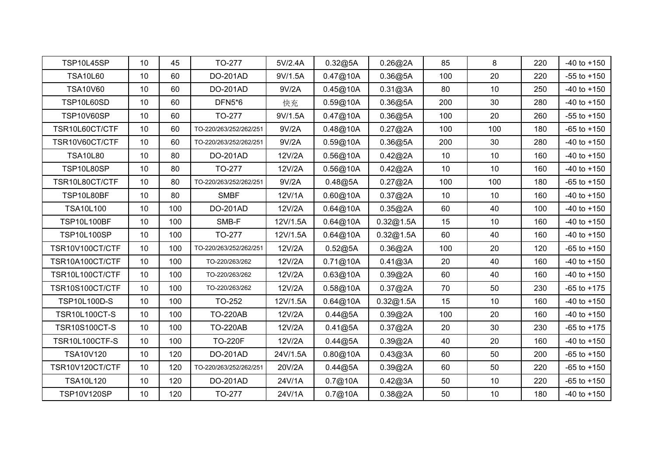| TSP10L45SP           | 10 <sup>°</sup> | 45  | TO-277                 | 5V/2.4A  | 0.32@5A  | 0.26@2A   | 85              | 8   | 220 | $-40$ to $+150$ |
|----------------------|-----------------|-----|------------------------|----------|----------|-----------|-----------------|-----|-----|-----------------|
| <b>TSA10L60</b>      | 10 <sup>°</sup> | 60  | DO-201AD               | 9V/1.5A  | 0.47@10A | 0.36@5A   | 100             | 20  | 220 | $-55$ to $+150$ |
| <b>TSA10V60</b>      | 10              | 60  | DO-201AD               | 9V/2A    | 0.45@10A | 0.31@3A   | 80              | 10  | 250 | $-40$ to $+150$ |
| TSP10L60SD           | 10 <sup>°</sup> | 60  | <b>DFN5*6</b>          | 快充       | 0.59@10A | 0.36@5A   | 200             | 30  | 280 | $-40$ to $+150$ |
| TSP10V60SP           | 10              | 60  | TO-277                 | 9V/1.5A  | 0.47@10A | 0.36@5A   | 100             | 20  | 260 | $-55$ to $+150$ |
| TSR10L60CT/CTF       | 10 <sup>°</sup> | 60  | TO-220/263/252/262/251 | 9V/2A    | 0.48@10A | 0.27@2A   | 100             | 100 | 180 | $-65$ to $+150$ |
| TSR10V60CT/CTF       | 10              | 60  | TO-220/263/252/262/251 | 9V/2A    | 0.59@10A | 0.36@5A   | 200             | 30  | 280 | $-40$ to $+150$ |
| <b>TSA10L80</b>      | 10 <sup>°</sup> | 80  | DO-201AD               | 12V/2A   | 0.56@10A | 0.42@2A   | 10              | 10  | 160 | $-40$ to $+150$ |
| TSP10L80SP           | 10 <sup>°</sup> | 80  | TO-277                 | 12V/2A   | 0.56@10A | 0.42@2A   | 10 <sup>°</sup> | 10  | 160 | $-40$ to $+150$ |
| TSR10L80CT/CTF       | 10              | 80  | TO-220/263/252/262/251 | 9V/2A    | 0.48@5A  | 0.27@2A   | 100             | 100 | 180 | $-65$ to $+150$ |
| TSP10L80BF           | 10 <sup>°</sup> | 80  | <b>SMBF</b>            | 12V/1A   | 0.60@10A | 0.37@2A   | 10              | 10  | 160 | $-40$ to $+150$ |
| <b>TSA10L100</b>     | 10              | 100 | DO-201AD               | 12V/2A   | 0.64@10A | 0.35@2A   | 60              | 40  | 100 | $-40$ to $+150$ |
| <b>TSP10L100BF</b>   | 10 <sup>°</sup> | 100 | SMB-F                  | 12V/1.5A | 0.64@10A | 0.32@1.5A | 15              | 10  | 160 | $-40$ to $+150$ |
| <b>TSP10L100SP</b>   | 10              | 100 | TO-277                 | 12V/1.5A | 0.64@10A | 0.32@1.5A | 60              | 40  | 160 | $-40$ to $+150$ |
| TSR10V100CT/CTF      | 10 <sup>°</sup> | 100 | TO-220/263/252/262/251 | 12V/2A   | 0.52@5A  | 0.36@2A   | 100             | 20  | 120 | $-65$ to $+150$ |
| TSR10A100CT/CTF      | 10 <sup>°</sup> | 100 | TO-220/263/262         | 12V/2A   | 0.71@10A | 0.41@3A   | 20              | 40  | 160 | $-40$ to $+150$ |
| TSR10L100CT/CTF      | 10 <sup>°</sup> | 100 | TO-220/263/262         | 12V/2A   | 0.63@10A | 0.39@2A   | 60              | 40  | 160 | $-40$ to $+150$ |
| TSR10S100CT/CTF      | 10 <sup>°</sup> | 100 | TO-220/263/262         | 12V/2A   | 0.58@10A | 0.37@2A   | 70              | 50  | 230 | $-65$ to $+175$ |
| TSP10L100D-S         | 10              | 100 | TO-252                 | 12V/1.5A | 0.64@10A | 0.32@1.5A | 15              | 10  | 160 | $-40$ to $+150$ |
| <b>TSR10L100CT-S</b> | 10 <sup>°</sup> | 100 | <b>TO-220AB</b>        | 12V/2A   | 0.44@5A  | 0.39@2A   | 100             | 20  | 160 | $-40$ to $+150$ |
| <b>TSR10S100CT-S</b> | 10              | 100 | <b>TO-220AB</b>        | 12V/2A   | 0.41@5A  | 0.37@2A   | 20              | 30  | 230 | $-65$ to $+175$ |
| TSR10L100CTF-S       | 10              | 100 | <b>TO-220F</b>         | 12V/2A   | 0.44@5A  | 0.39@2A   | 40              | 20  | 160 | $-40$ to $+150$ |
| TSA10V120            | 10 <sup>°</sup> | 120 | DO-201AD               | 24V/1.5A | 0.80@10A | 0.43@3A   | 60              | 50  | 200 | $-65$ to $+150$ |
| TSR10V120CT/CTF      | 10 <sup>°</sup> | 120 | TO-220/263/252/262/251 | 20V/2A   | 0.44@5A  | 0.39@2A   | 60              | 50  | 220 | $-65$ to $+150$ |
| <b>TSA10L120</b>     | 10 <sup>°</sup> | 120 | DO-201AD               | 24V/1A   | 0.7@10A  | 0.42@3A   | 50              | 10  | 220 | $-65$ to $+150$ |
| <b>TSP10V120SP</b>   | 10              | 120 | TO-277                 | 24V/1A   | 0.7@10A  | 0.38@2A   | 50              | 10  | 180 | $-40$ to $+150$ |
|                      |                 |     |                        |          |          |           |                 |     |     |                 |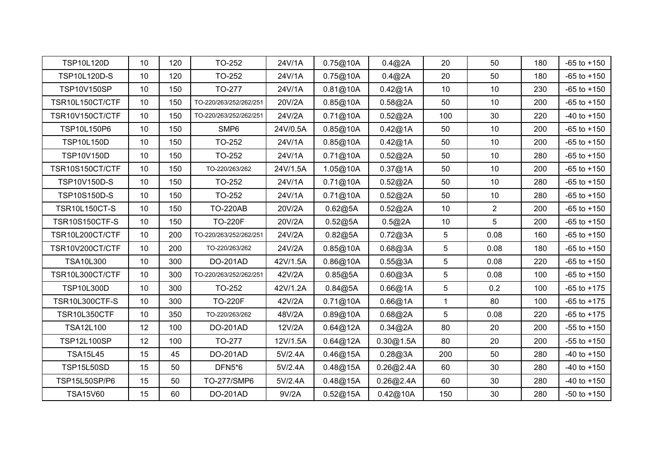| <b>TSP10L120D</b>     | 10 <sup>°</sup> | 120 | TO-252                 | 24V/1A   | 0.75@10A | 0.4@2A    | 20              | 50             | 180 | $-65$ to $+150$ |
|-----------------------|-----------------|-----|------------------------|----------|----------|-----------|-----------------|----------------|-----|-----------------|
| TSP10L120D-S          | 10 <sup>°</sup> | 120 | TO-252                 | 24V/1A   | 0.75@10A | 0.4@2A    | 20              | 50             | 180 | $-65$ to $+150$ |
| <b>TSP10V150SP</b>    | 10 <sup>°</sup> | 150 | TO-277                 | 24V/1A   | 0.81@10A | 0.42@1A   | 10              | 10             | 230 | $-65$ to $+150$ |
| TSR10L150CT/CTF       | 10 <sup>°</sup> | 150 | TO-220/263/252/262/251 | 20V/2A   | 0.85@10A | 0.58@2A   | 50              | 10             | 200 | $-65$ to $+150$ |
| TSR10V150CT/CTF       | 10              | 150 | TO-220/263/252/262/251 | 24V/2A   | 0.71@10A | 0.52@2A   | 100             | 30             | 220 | $-40$ to $+150$ |
| TSP10L150P6           | 10              | 150 | SMP <sub>6</sub>       | 24V/0.5A | 0.85@10A | 0.42@1A   | 50              | 10             | 200 | $-65$ to $+150$ |
| <b>TSP10L150D</b>     | 10 <sup>°</sup> | 150 | TO-252                 | 24V/1A   | 0.85@10A | 0.42@1A   | 50              | 10             | 200 | $-65$ to $+150$ |
| <b>TSP10V150D</b>     | 10              | 150 | TO-252                 | 24V/1A   | 0.71@10A | 0.52@2A   | 50              | 10             | 280 | $-65$ to $+150$ |
| TSR10S150CT/CTF       | 10 <sup>°</sup> | 150 | TO-220/263/262         | 24V/1.5A | 1.05@10A | 0.37@1A   | 50              | 10             | 200 | $-65$ to $+150$ |
| TSP10V150D-S          | 10              | 150 | TO-252                 | 24V/1A   | 0.71@10A | 0.52@2A   | 50              | 10             | 280 | $-65$ to $+150$ |
| TSP10S150D-S          | 10              | 150 | TO-252                 | 24V/1A   | 0.71@10A | 0.52@2A   | 50              | 10             | 280 | $-65$ to $+150$ |
| <b>TSR10L150CT-S</b>  | 10              | 150 | <b>TO-220AB</b>        | 20V/2A   | 0.62@5A  | 0.52@2A   | 10              | $\overline{2}$ | 200 | $-65$ to $+150$ |
| <b>TSR10S150CTF-S</b> | 10 <sup>°</sup> | 150 | <b>TO-220F</b>         | 20V/2A   | 0.52@5A  | 0.5@2A    | 10              | 5              | 200 | $-65$ to $+150$ |
| TSR10L200CT/CTF       | 10              | 200 | TO-220/263/252/262/251 | 24V/2A   | 0.82@5A  | 0.72@3A   | $5\phantom{.0}$ | 0.08           | 160 | $-65$ to $+150$ |
| TSR10V200CT/CTF       | 10 <sup>°</sup> | 200 | TO-220/263/262         | 24V/2A   | 0.85@10A | 0.68@3A   | 5               | 0.08           | 180 | $-65$ to $+150$ |
| <b>TSA10L300</b>      | 10 <sup>°</sup> | 300 | DO-201AD               | 42V/1.5A | 0.86@10A | 0.55@3A   | 5               | 0.08           | 220 | $-65$ to $+150$ |
| TSR10L300CT/CTF       | 10 <sup>°</sup> | 300 | TO-220/263/252/262/251 | 42V/2A   | 0.85@5A  | 0.60@3A   | 5               | 0.08           | 100 | $-65$ to $+150$ |
| <b>TSP10L300D</b>     | 10              | 300 | TO-252                 | 42V/1.2A | 0.84@5A  | 0.66@1A   | 5               | 0.2            | 100 | $-65$ to $+175$ |
| <b>TSR10L300CTF-S</b> | 10              | 300 | <b>TO-220F</b>         | 42V/2A   | 0.71@10A | 0.66@1A   | 1               | 80             | 100 | $-65$ to $+175$ |
| TSR10L350CTF          | 10              | 350 | TO-220/263/262         | 48V/2A   | 0.89@10A | 0.68@2A   | 5               | 0.08           | 220 | $-65$ to $+175$ |
| <b>TSA12L100</b>      | 12              | 100 | DO-201AD               | 12V/2A   | 0.64@12A | 0.34@2A   | 80              | 20             | 200 | $-55$ to $+150$ |
| TSP12L100SP           | 12              | 100 | TO-277                 | 12V/1.5A | 0.64@12A | 0.30@1.5A | 80              | 20             | 200 | $-55$ to $+150$ |
| <b>TSA15L45</b>       | 15              | 45  | DO-201AD               | 5V/2.4A  | 0.46@15A | 0.28@3A   | 200             | 50             | 280 | $-40$ to $+150$ |
| <b>TSP15L50SD</b>     | 15              | 50  | DFN5*6                 | 5V/2.4A  | 0.48@15A | 0.26@2.4A | 60              | 30             | 280 | $-40$ to $+150$ |
| TSP15L50SP/P6         | 15              | 50  | TO-277/SMP6            | 5V/2.4A  | 0.48@15A | 0.26@2.4A | 60              | 30             | 280 | $-40$ to $+150$ |
| <b>TSA15V60</b>       | 15              | 60  | DO-201AD               | 9V/2A    | 0.52@15A | 0.42@10A  | 150             | 30             | 280 | $-50$ to $+150$ |
|                       |                 |     |                        |          |          |           |                 |                |     |                 |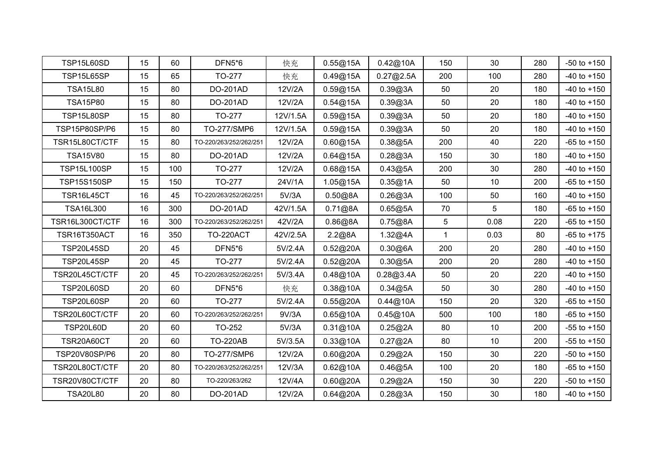| TSP15L65SP<br>15<br>65<br>TO-277<br>0.49@15A<br>0.27@2.5A<br>200<br>280<br>$-40$ to $+150$<br>快充<br>100<br>0.59@15A<br>0.39@3A<br><b>TSA15L80</b><br>15<br>80<br>DO-201AD<br>12V/2A<br>50<br>20<br>180<br>$-40$ to $+150$<br><b>TSA15P80</b><br>15<br>80<br>DO-201AD<br>12V/2A<br>0.54@15A<br>0.39@3A<br>180<br>50<br>20<br>$-40$ to $+150$<br>TSP15L80SP<br>15<br>80<br>TO-277<br>12V/1.5A<br>0.59@15A<br>0.39@3A<br>50<br>20<br>$-40$ to $+150$<br>180<br>TSP15P80SP/P6<br>TO-277/SMP6<br>15<br>80<br>12V/1.5A<br>0.59@15A<br>0.39@3A<br>20<br>$-40$ to $+150$<br>50<br>180<br>12V/2A<br>0.60@15A<br>0.38@5A<br>TSR15L80CT/CTF<br>15<br>80<br>TO-220/263/252/262/251<br>200<br>40<br>220<br>$-65$ to $+150$<br>DO-201AD<br>12V/2A<br>0.64@15A<br><b>TSA15V80</b><br>15<br>80<br>0.28@3A<br>150<br>30<br>180<br>$-40$ to $+150$<br>TSP15L100SP<br>15<br>TO-277<br>0.68@15A<br>0.43@5A<br>30<br>100<br>12V/2A<br>200<br>280<br>$-40$ to $+150$<br><b>TSP15S150SP</b><br>15<br>TO-277<br>24V/1A<br>1.05@15A<br>0.35@1A<br>50<br>10<br>200<br>$-65$ to $+150$<br>150<br>16<br>45<br>TSR16L45CT<br>5V/3A<br>0.50@8A<br>0.26@3A<br>100<br>50<br>160<br>$-40$ to $+150$<br>TO-220/263/252/262/251<br>16<br>5<br>TSA16L300<br>300<br>DO-201AD<br>42V/1.5A<br>0.71@8A<br>0.65@5A<br>70<br>180<br>$-65$ to $+150$<br>TSR16L300CT/CTF<br>16<br>5 <sup>5</sup><br>300<br>TO-220/263/252/262/251<br>0.86@8A<br>0.75@8A<br>0.08<br>42V/2A<br>220<br>350<br>42V/2.5A<br>2.2@8A<br>1.32@4A<br>TSR16T350ACT<br>16<br><b>TO-220ACT</b><br>$\mathbf{1}$<br>0.03<br>80<br>$-65$ to $+175$<br>0.52@20A<br>0.30@6A<br>TSP20L45SD<br>20<br>45<br>DFN5*6<br>5V/2.4A<br>200<br>20<br>280<br>$-40$ to $+150$<br>TSP20L45SP<br>20<br>45<br>TO-277<br>5V/2.4A<br>0.52@20A<br>0.30@5A<br>200<br>20<br>280<br>$-40$ to $+150$<br>0.48@10A<br>TSR20L45CT/CTF<br>20<br>45<br>TO-220/263/252/262/251<br>5V/3.4A<br>0.28@3.4A<br>50<br>20<br>220<br>$-40$ to $+150$<br>20<br>0.38@10A<br>0.34@5A<br><b>TSP20L60SD</b><br>60<br>DFN5*6<br>快充<br>50<br>30<br>280<br>$-40$ to $+150$<br>0.55@20A<br>0.44@10A<br>TSP20L60SP<br>20<br>60<br>TO-277<br>5V/2.4A<br>20<br>320<br>$-65$ to $+150$<br>150<br>TSR20L60CT/CTF<br>20<br>60<br>9V/3A<br>0.65@10A<br>0.45@10A<br>500<br>180<br>$-65$ to $+150$<br>TO-220/263/252/262/251<br>100 | <b>TSP15L60SD</b> | 15 | 60 | DFN5*6 | 快充 | 0.55@15A | 0.42@10A | 150 | 30 | 280 | $-50$ to $+150$ |
|--------------------------------------------------------------------------------------------------------------------------------------------------------------------------------------------------------------------------------------------------------------------------------------------------------------------------------------------------------------------------------------------------------------------------------------------------------------------------------------------------------------------------------------------------------------------------------------------------------------------------------------------------------------------------------------------------------------------------------------------------------------------------------------------------------------------------------------------------------------------------------------------------------------------------------------------------------------------------------------------------------------------------------------------------------------------------------------------------------------------------------------------------------------------------------------------------------------------------------------------------------------------------------------------------------------------------------------------------------------------------------------------------------------------------------------------------------------------------------------------------------------------------------------------------------------------------------------------------------------------------------------------------------------------------------------------------------------------------------------------------------------------------------------------------------------------------------------------------------------------------------------------------------------------------------------------------------------------------------------------------------------------------------------------------------------------------------------------------------------------------------------------------------------------------------------------------------------------------------------------------------------------------------------------------|-------------------|----|----|--------|----|----------|----------|-----|----|-----|-----------------|
|                                                                                                                                                                                                                                                                                                                                                                                                                                                                                                                                                                                                                                                                                                                                                                                                                                                                                                                                                                                                                                                                                                                                                                                                                                                                                                                                                                                                                                                                                                                                                                                                                                                                                                                                                                                                                                                                                                                                                                                                                                                                                                                                                                                                                                                                                                  |                   |    |    |        |    |          |          |     |    |     |                 |
|                                                                                                                                                                                                                                                                                                                                                                                                                                                                                                                                                                                                                                                                                                                                                                                                                                                                                                                                                                                                                                                                                                                                                                                                                                                                                                                                                                                                                                                                                                                                                                                                                                                                                                                                                                                                                                                                                                                                                                                                                                                                                                                                                                                                                                                                                                  |                   |    |    |        |    |          |          |     |    |     |                 |
|                                                                                                                                                                                                                                                                                                                                                                                                                                                                                                                                                                                                                                                                                                                                                                                                                                                                                                                                                                                                                                                                                                                                                                                                                                                                                                                                                                                                                                                                                                                                                                                                                                                                                                                                                                                                                                                                                                                                                                                                                                                                                                                                                                                                                                                                                                  |                   |    |    |        |    |          |          |     |    |     |                 |
|                                                                                                                                                                                                                                                                                                                                                                                                                                                                                                                                                                                                                                                                                                                                                                                                                                                                                                                                                                                                                                                                                                                                                                                                                                                                                                                                                                                                                                                                                                                                                                                                                                                                                                                                                                                                                                                                                                                                                                                                                                                                                                                                                                                                                                                                                                  |                   |    |    |        |    |          |          |     |    |     |                 |
|                                                                                                                                                                                                                                                                                                                                                                                                                                                                                                                                                                                                                                                                                                                                                                                                                                                                                                                                                                                                                                                                                                                                                                                                                                                                                                                                                                                                                                                                                                                                                                                                                                                                                                                                                                                                                                                                                                                                                                                                                                                                                                                                                                                                                                                                                                  |                   |    |    |        |    |          |          |     |    |     |                 |
|                                                                                                                                                                                                                                                                                                                                                                                                                                                                                                                                                                                                                                                                                                                                                                                                                                                                                                                                                                                                                                                                                                                                                                                                                                                                                                                                                                                                                                                                                                                                                                                                                                                                                                                                                                                                                                                                                                                                                                                                                                                                                                                                                                                                                                                                                                  |                   |    |    |        |    |          |          |     |    |     |                 |
|                                                                                                                                                                                                                                                                                                                                                                                                                                                                                                                                                                                                                                                                                                                                                                                                                                                                                                                                                                                                                                                                                                                                                                                                                                                                                                                                                                                                                                                                                                                                                                                                                                                                                                                                                                                                                                                                                                                                                                                                                                                                                                                                                                                                                                                                                                  |                   |    |    |        |    |          |          |     |    |     |                 |
|                                                                                                                                                                                                                                                                                                                                                                                                                                                                                                                                                                                                                                                                                                                                                                                                                                                                                                                                                                                                                                                                                                                                                                                                                                                                                                                                                                                                                                                                                                                                                                                                                                                                                                                                                                                                                                                                                                                                                                                                                                                                                                                                                                                                                                                                                                  |                   |    |    |        |    |          |          |     |    |     |                 |
|                                                                                                                                                                                                                                                                                                                                                                                                                                                                                                                                                                                                                                                                                                                                                                                                                                                                                                                                                                                                                                                                                                                                                                                                                                                                                                                                                                                                                                                                                                                                                                                                                                                                                                                                                                                                                                                                                                                                                                                                                                                                                                                                                                                                                                                                                                  |                   |    |    |        |    |          |          |     |    |     |                 |
|                                                                                                                                                                                                                                                                                                                                                                                                                                                                                                                                                                                                                                                                                                                                                                                                                                                                                                                                                                                                                                                                                                                                                                                                                                                                                                                                                                                                                                                                                                                                                                                                                                                                                                                                                                                                                                                                                                                                                                                                                                                                                                                                                                                                                                                                                                  |                   |    |    |        |    |          |          |     |    |     |                 |
|                                                                                                                                                                                                                                                                                                                                                                                                                                                                                                                                                                                                                                                                                                                                                                                                                                                                                                                                                                                                                                                                                                                                                                                                                                                                                                                                                                                                                                                                                                                                                                                                                                                                                                                                                                                                                                                                                                                                                                                                                                                                                                                                                                                                                                                                                                  |                   |    |    |        |    |          |          |     |    |     |                 |
|                                                                                                                                                                                                                                                                                                                                                                                                                                                                                                                                                                                                                                                                                                                                                                                                                                                                                                                                                                                                                                                                                                                                                                                                                                                                                                                                                                                                                                                                                                                                                                                                                                                                                                                                                                                                                                                                                                                                                                                                                                                                                                                                                                                                                                                                                                  |                   |    |    |        |    |          |          |     |    |     |                 |
|                                                                                                                                                                                                                                                                                                                                                                                                                                                                                                                                                                                                                                                                                                                                                                                                                                                                                                                                                                                                                                                                                                                                                                                                                                                                                                                                                                                                                                                                                                                                                                                                                                                                                                                                                                                                                                                                                                                                                                                                                                                                                                                                                                                                                                                                                                  |                   |    |    |        |    |          |          |     |    |     | $-65$ to $+150$ |
|                                                                                                                                                                                                                                                                                                                                                                                                                                                                                                                                                                                                                                                                                                                                                                                                                                                                                                                                                                                                                                                                                                                                                                                                                                                                                                                                                                                                                                                                                                                                                                                                                                                                                                                                                                                                                                                                                                                                                                                                                                                                                                                                                                                                                                                                                                  |                   |    |    |        |    |          |          |     |    |     |                 |
|                                                                                                                                                                                                                                                                                                                                                                                                                                                                                                                                                                                                                                                                                                                                                                                                                                                                                                                                                                                                                                                                                                                                                                                                                                                                                                                                                                                                                                                                                                                                                                                                                                                                                                                                                                                                                                                                                                                                                                                                                                                                                                                                                                                                                                                                                                  |                   |    |    |        |    |          |          |     |    |     |                 |
|                                                                                                                                                                                                                                                                                                                                                                                                                                                                                                                                                                                                                                                                                                                                                                                                                                                                                                                                                                                                                                                                                                                                                                                                                                                                                                                                                                                                                                                                                                                                                                                                                                                                                                                                                                                                                                                                                                                                                                                                                                                                                                                                                                                                                                                                                                  |                   |    |    |        |    |          |          |     |    |     |                 |
|                                                                                                                                                                                                                                                                                                                                                                                                                                                                                                                                                                                                                                                                                                                                                                                                                                                                                                                                                                                                                                                                                                                                                                                                                                                                                                                                                                                                                                                                                                                                                                                                                                                                                                                                                                                                                                                                                                                                                                                                                                                                                                                                                                                                                                                                                                  |                   |    |    |        |    |          |          |     |    |     |                 |
|                                                                                                                                                                                                                                                                                                                                                                                                                                                                                                                                                                                                                                                                                                                                                                                                                                                                                                                                                                                                                                                                                                                                                                                                                                                                                                                                                                                                                                                                                                                                                                                                                                                                                                                                                                                                                                                                                                                                                                                                                                                                                                                                                                                                                                                                                                  |                   |    |    |        |    |          |          |     |    |     |                 |
|                                                                                                                                                                                                                                                                                                                                                                                                                                                                                                                                                                                                                                                                                                                                                                                                                                                                                                                                                                                                                                                                                                                                                                                                                                                                                                                                                                                                                                                                                                                                                                                                                                                                                                                                                                                                                                                                                                                                                                                                                                                                                                                                                                                                                                                                                                  |                   |    |    |        |    |          |          |     |    |     |                 |
|                                                                                                                                                                                                                                                                                                                                                                                                                                                                                                                                                                                                                                                                                                                                                                                                                                                                                                                                                                                                                                                                                                                                                                                                                                                                                                                                                                                                                                                                                                                                                                                                                                                                                                                                                                                                                                                                                                                                                                                                                                                                                                                                                                                                                                                                                                  |                   |    |    |        |    |          |          |     |    |     |                 |
| <b>TSP20L60D</b><br>20<br>60<br>TO-252<br>0.31@10A<br>0.25@2A<br>80<br>10<br>200<br>5V/3A<br>$-55$ to $+150$                                                                                                                                                                                                                                                                                                                                                                                                                                                                                                                                                                                                                                                                                                                                                                                                                                                                                                                                                                                                                                                                                                                                                                                                                                                                                                                                                                                                                                                                                                                                                                                                                                                                                                                                                                                                                                                                                                                                                                                                                                                                                                                                                                                     |                   |    |    |        |    |          |          |     |    |     |                 |
| <b>TSR20A60CT</b><br><b>TO-220AB</b><br>0.33@10A<br>0.27@2A<br>20<br>60<br>5V/3.5A<br>80<br>10<br>200<br>$-55$ to $+150$                                                                                                                                                                                                                                                                                                                                                                                                                                                                                                                                                                                                                                                                                                                                                                                                                                                                                                                                                                                                                                                                                                                                                                                                                                                                                                                                                                                                                                                                                                                                                                                                                                                                                                                                                                                                                                                                                                                                                                                                                                                                                                                                                                         |                   |    |    |        |    |          |          |     |    |     |                 |
| TO-277/SMP6<br>12V/2A<br>0.60@20A<br>0.29@2A<br>TSP20V80SP/P6<br>20<br>80<br>150<br>30<br>220<br>$-50$ to $+150$                                                                                                                                                                                                                                                                                                                                                                                                                                                                                                                                                                                                                                                                                                                                                                                                                                                                                                                                                                                                                                                                                                                                                                                                                                                                                                                                                                                                                                                                                                                                                                                                                                                                                                                                                                                                                                                                                                                                                                                                                                                                                                                                                                                 |                   |    |    |        |    |          |          |     |    |     |                 |
| TSR20L80CT/CTF<br>TO-220/263/252/262/251<br>0.62@10A<br>0.46@5A<br>$-65$ to $+150$<br>20<br>80<br>12V/3A<br>100<br>20<br>180                                                                                                                                                                                                                                                                                                                                                                                                                                                                                                                                                                                                                                                                                                                                                                                                                                                                                                                                                                                                                                                                                                                                                                                                                                                                                                                                                                                                                                                                                                                                                                                                                                                                                                                                                                                                                                                                                                                                                                                                                                                                                                                                                                     |                   |    |    |        |    |          |          |     |    |     |                 |
| TSR20V80CT/CTF<br>20<br>80<br>12V/4A<br>0.60@20A<br>0.29@2A<br>30<br>220<br>$-50$ to $+150$<br>TO-220/263/262<br>150                                                                                                                                                                                                                                                                                                                                                                                                                                                                                                                                                                                                                                                                                                                                                                                                                                                                                                                                                                                                                                                                                                                                                                                                                                                                                                                                                                                                                                                                                                                                                                                                                                                                                                                                                                                                                                                                                                                                                                                                                                                                                                                                                                             |                   |    |    |        |    |          |          |     |    |     |                 |
| 0.64@20A<br>0.28@3A<br><b>TSA20L80</b><br>20<br>80<br>DO-201AD<br>12V/2A<br>150<br>30<br>180                                                                                                                                                                                                                                                                                                                                                                                                                                                                                                                                                                                                                                                                                                                                                                                                                                                                                                                                                                                                                                                                                                                                                                                                                                                                                                                                                                                                                                                                                                                                                                                                                                                                                                                                                                                                                                                                                                                                                                                                                                                                                                                                                                                                     |                   |    |    |        |    |          |          |     |    |     | $-40$ to $+150$ |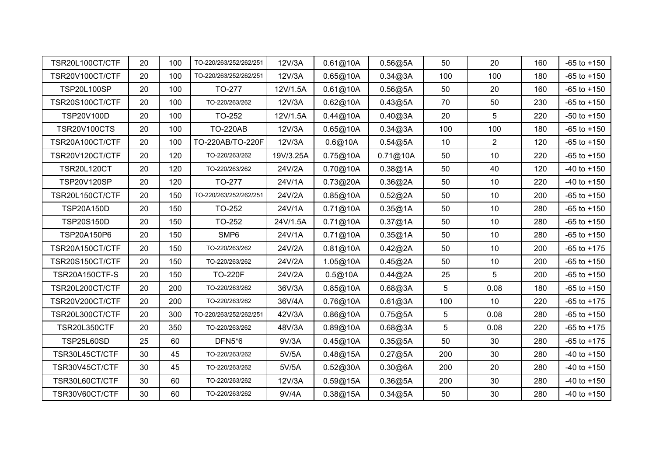| TSR20L100CT/CTF     | 20 | 100 | TO-220/263/252/262/251 | 12V/3A    | 0.61@10A | 0.56@5A  | 50             | 20   | 160 | $-65$ to $+150$ |
|---------------------|----|-----|------------------------|-----------|----------|----------|----------------|------|-----|-----------------|
| TSR20V100CT/CTF     | 20 | 100 | TO-220/263/252/262/251 | 12V/3A    | 0.65@10A | 0.34@3A  | 100            | 100  | 180 | $-65$ to $+150$ |
| <b>TSP20L100SP</b>  | 20 | 100 | TO-277                 | 12V/1.5A  | 0.61@10A | 0.56@5A  | 50             | 20   | 160 | $-65$ to $+150$ |
| TSR20S100CT/CTF     | 20 | 100 | TO-220/263/262         | 12V/3A    | 0.62@10A | 0.43@5A  | 70             | 50   | 230 | $-65$ to $+150$ |
| TSP20V100D          | 20 | 100 | TO-252                 | 12V/1.5A  | 0.44@10A | 0.40@3A  | 20             | 5    | 220 | $-50$ to $+150$ |
| <b>TSR20V100CTS</b> | 20 | 100 | <b>TO-220AB</b>        | 12V/3A    | 0.65@10A | 0.34@3A  | 100            | 100  | 180 | $-65$ to $+150$ |
| TSR20A100CT/CTF     | 20 | 100 | TO-220AB/TO-220F       | 12V/3A    | 0.6@10A  | 0.54@5A  | 10             | 2    | 120 | $-65$ to $+150$ |
| TSR20V120CT/CTF     | 20 | 120 | TO-220/263/262         | 19V/3.25A | 0.75@10A | 0.71@10A | 50             | 10   | 220 | $-65$ to $+150$ |
| <b>TSR20L120CT</b>  | 20 | 120 | TO-220/263/262         | 24V/2A    | 0.70@10A | 0.38@1A  | 50             | 40   | 120 | $-40$ to $+150$ |
| <b>TSP20V120SP</b>  | 20 | 120 | TO-277                 | 24V/1A    | 0.73@20A | 0.36@2A  | 50             | 10   | 220 | $-40$ to $+150$ |
| TSR20L150CT/CTF     | 20 | 150 | TO-220/263/252/262/251 | 24V/2A    | 0.85@10A | 0.52@2A  | 50             | 10   | 200 | $-65$ to $+150$ |
| <b>TSP20A150D</b>   | 20 | 150 | TO-252                 | 24V/1A    | 0.71@10A | 0.35@1A  | 50             | 10   | 280 | $-65$ to $+150$ |
| <b>TSP20S150D</b>   | 20 | 150 | TO-252                 | 24V/1.5A  | 0.71@10A | 0.37@1A  | 50             | 10   | 280 | $-65$ to $+150$ |
| TSP20A150P6         | 20 | 150 | SMP6                   | 24V/1A    | 0.71@10A | 0.35@1A  | 50             | 10   | 280 | $-65$ to $+150$ |
| TSR20A150CT/CTF     | 20 | 150 | TO-220/263/262         | 24V/2A    | 0.81@10A | 0.42@2A  | 50             | 10   | 200 | $-65$ to $+175$ |
| TSR20S150CT/CTF     | 20 | 150 | TO-220/263/262         | 24V/2A    | 1.05@10A | 0.45@2A  | 50             | 10   | 200 | $-65$ to $+150$ |
| TSR20A150CTF-S      | 20 | 150 | <b>TO-220F</b>         | 24V/2A    | 0.5@10A  | 0.44@2A  | 25             | 5    | 200 | $-65$ to $+150$ |
| TSR20L200CT/CTF     | 20 | 200 | TO-220/263/262         | 36V/3A    | 0.85@10A | 0.68@3A  | 5              | 0.08 | 180 | $-65$ to $+150$ |
| TSR20V200CT/CTF     | 20 | 200 | TO-220/263/262         | 36V/4A    | 0.76@10A | 0.61@3A  | 100            | 10   | 220 | $-65$ to $+175$ |
| TSR20L300CT/CTF     | 20 | 300 | TO-220/263/252/262/251 | 42V/3A    | 0.86@10A | 0.75@5A  | 5 <sup>5</sup> | 0.08 | 280 | $-65$ to $+150$ |
| <b>TSR20L350CTF</b> | 20 | 350 | TO-220/263/262         | 48V/3A    | 0.89@10A | 0.68@3A  | 5 <sup>5</sup> | 0.08 | 220 | $-65$ to $+175$ |
| <b>TSP25L60SD</b>   | 25 | 60  | DFN5*6                 | 9V/3A     | 0.45@10A | 0.35@5A  | 50             | 30   | 280 | $-65$ to $+175$ |
| TSR30L45CT/CTF      | 30 | 45  | TO-220/263/262         | 5V/5A     | 0.48@15A | 0.27@5A  | 200            | 30   | 280 | $-40$ to $+150$ |
| TSR30V45CT/CTF      | 30 | 45  | TO-220/263/262         | 5V/5A     | 0.52@30A | 0.30@6A  | 200            | 20   | 280 | $-40$ to $+150$ |
| TSR30L60CT/CTF      | 30 | 60  | TO-220/263/262         | 12V/3A    | 0.59@15A | 0.36@5A  | 200            | 30   | 280 | $-40$ to $+150$ |
| TSR30V60CT/CTF      | 30 | 60  | TO-220/263/262         | 9V/4A     | 0.38@15A | 0.34@5A  | 50             | 30   | 280 | $-40$ to $+150$ |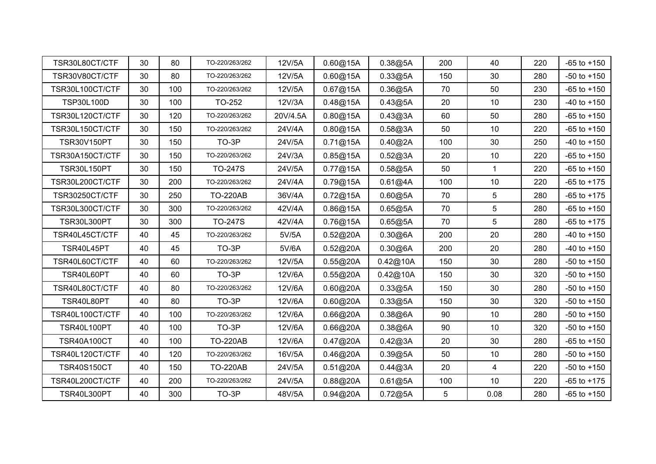| TSR30L80CT/CTF     | 30 | 80  | TO-220/263/262  | 12V/5A   | 0.60@15A | 0.38@5A  | 200 | 40              | 220 | $-65$ to $+150$ |
|--------------------|----|-----|-----------------|----------|----------|----------|-----|-----------------|-----|-----------------|
| TSR30V80CT/CTF     | 30 | 80  | TO-220/263/262  | 12V/5A   | 0.60@15A | 0.33@5A  | 150 | 30              | 280 | $-50$ to $+150$ |
| TSR30L100CT/CTF    | 30 | 100 | TO-220/263/262  | 12V/5A   | 0.67@15A | 0.36@5A  | 70  | 50              | 230 | $-65$ to $+150$ |
| <b>TSP30L100D</b>  | 30 | 100 | TO-252          | 12V/3A   | 0.48@15A | 0.43@5A  | 20  | 10              | 230 | $-40$ to $+150$ |
| TSR30L120CT/CTF    | 30 | 120 | TO-220/263/262  | 20V/4.5A | 0.80@15A | 0.43@3A  | 60  | 50              | 280 | $-65$ to $+150$ |
| TSR30L150CT/CTF    | 30 | 150 | TO-220/263/262  | 24V/4A   | 0.80@15A | 0.58@3A  | 50  | 10              | 220 | $-65$ to $+150$ |
| <b>TSR30V150PT</b> | 30 | 150 | TO-3P           | 24V/5A   | 0.71@15A | 0.40@2A  | 100 | 30              | 250 | $-40$ to $+150$ |
| TSR30A150CT/CTF    | 30 | 150 | TO-220/263/262  | 24V/3A   | 0.85@15A | 0.52@3A  | 20  | 10              | 220 | $-65$ to $+150$ |
| <b>TSR30L150PT</b> | 30 | 150 | <b>TO-247S</b>  | 24V/5A   | 0.77@15A | 0.58@5A  | 50  | $\overline{1}$  | 220 | $-65$ to $+150$ |
| TSR30L200CT/CTF    | 30 | 200 | TO-220/263/262  | 24V/4A   | 0.79@15A | 0.61@4A  | 100 | 10              | 220 | $-65$ to $+175$ |
| TSR30250CT/CTF     | 30 | 250 | <b>TO-220AB</b> | 36V/4A   | 0.72@15A | 0.60@5A  | 70  | 5               | 280 | $-65$ to $+175$ |
| TSR30L300CT/CTF    | 30 | 300 | TO-220/263/262  | 42V/4A   | 0.86@15A | 0.65@5A  | 70  | $5\phantom{.0}$ | 280 | $-65$ to $+150$ |
| <b>TSR30L300PT</b> | 30 | 300 | <b>TO-247S</b>  | 42V/4A   | 0.76@15A | 0.65@5A  | 70  | $5\phantom{.0}$ | 280 | $-65$ to $+175$ |
| TSR40L45CT/CTF     | 40 | 45  | TO-220/263/262  | 5V/5A    | 0.52@20A | 0.30@6A  | 200 | 20              | 280 | $-40$ to $+150$ |
| TSR40L45PT         | 40 | 45  | TO-3P           | 5V/6A    | 0.52@20A | 0.30@6A  | 200 | 20              | 280 | $-40$ to $+150$ |
| TSR40L60CT/CTF     | 40 | 60  | TO-220/263/262  | 12V/5A   | 0.55@20A | 0.42@10A | 150 | 30              | 280 | $-50$ to $+150$ |
| TSR40L60PT         | 40 | 60  | TO-3P           | 12V/6A   | 0.55@20A | 0.42@10A | 150 | 30              | 320 | $-50$ to $+150$ |
| TSR40L80CT/CTF     | 40 | 80  | TO-220/263/262  | 12V/6A   | 0.60@20A | 0.33@5A  | 150 | 30              | 280 | $-50$ to $+150$ |
| TSR40L80PT         | 40 | 80  | TO-3P           | 12V/6A   | 0.60@20A | 0.33@5A  | 150 | 30              | 320 | $-50$ to $+150$ |
| TSR40L100CT/CTF    | 40 | 100 | TO-220/263/262  | 12V/6A   | 0.66@20A | 0.38@6A  | 90  | 10              | 280 | $-50$ to $+150$ |
| <b>TSR40L100PT</b> | 40 | 100 | TO-3P           | 12V/6A   | 0.66@20A | 0.38@6A  | 90  | 10              | 320 | $-50$ to $+150$ |
| <b>TSR40A100CT</b> | 40 | 100 | <b>TO-220AB</b> | 12V/6A   | 0.47@20A | 0.42@3A  | 20  | 30              | 280 | $-65$ to $+150$ |
| TSR40L120CT/CTF    | 40 | 120 | TO-220/263/262  | 16V/5A   | 0.46@20A | 0.39@5A  | 50  | 10              | 280 | $-50$ to $+150$ |
| <b>TSR40S150CT</b> | 40 | 150 | <b>TO-220AB</b> | 24V/5A   | 0.51@20A | 0.44@3A  | 20  | 4               | 220 | $-50$ to $+150$ |
| TSR40L200CT/CTF    | 40 | 200 | TO-220/263/262  | 24V/5A   | 0.88@20A | 0.61@5A  | 100 | 10              | 220 | $-65$ to $+175$ |
| <b>TSR40L300PT</b> | 40 | 300 | TO-3P           | 48V/5A   | 0.94@20A | 0.72@5A  | 5   | 0.08            | 280 | $-65$ to $+150$ |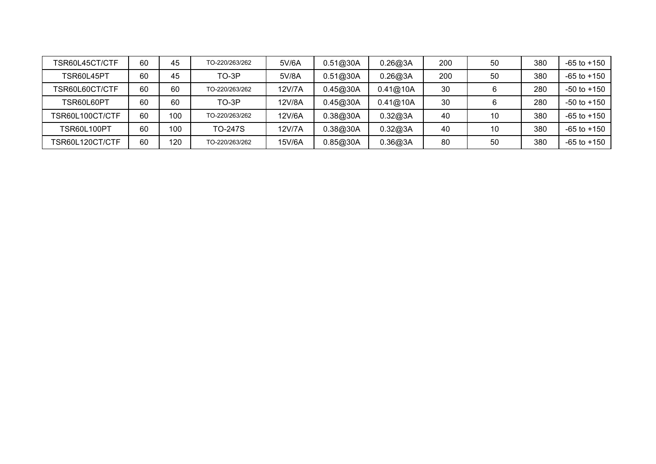| FSR60L45CT/CTF     | 60 | 45  | TO-220/263/262 | 5V/6A  | 0.51@30A | 0.26@3A  | 200 | 50 | 380 | $-65$ to $+150$ |
|--------------------|----|-----|----------------|--------|----------|----------|-----|----|-----|-----------------|
| TSR60L45PT         | 60 | 45  | TO-3P          | 5V/8A  | 0.51@30A | 0.26@3A  | 200 | 50 | 380 | $-65$ to $+150$ |
| TSR60L60CT/CTF     | 60 | 60  | TO-220/263/262 | 12V/7A | 0.45@30A | 0.41@10A | 30  |    | 280 | -50 to +150     |
| TSR60L60PT         | 60 | 60  | TO-3P          | 12V/8A | 0.45@30A | 0.41@10A | 30  |    | 280 | -50 to +150     |
| TSR60L100CT/CTF    | 60 | 100 | TO-220/263/262 | 12V/6A | 0.38@30A | 0.32@3A  | 40  | 10 | 380 | $-65$ to $+150$ |
| <b>TSR60L100PT</b> | 60 | 100 | TO-247S        | 12V/7A | 0.38@30A | 0.32@3A  | 40  | 10 | 380 | $-65$ to $+150$ |
| TSR60L120CT/CTF    | 60 | 120 | TO-220/263/262 | 15V/6A | 0.85@30A | 0.36@3A  | 80  | 50 | 380 | -65 to +150     |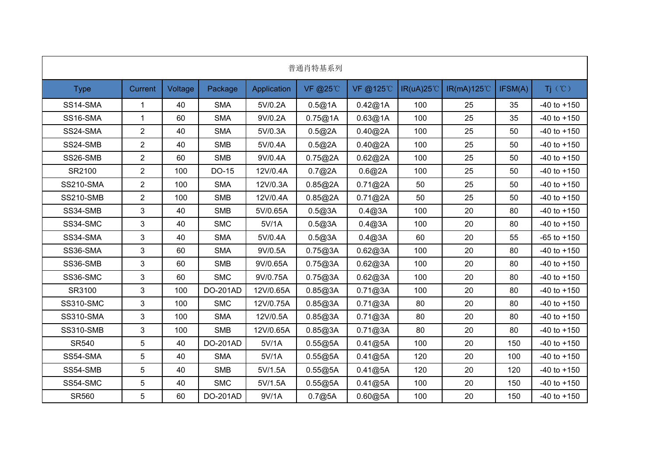|                  |                |         |            |             | 普通肖特基系列 |           |                    |            |         |                 |
|------------------|----------------|---------|------------|-------------|---------|-----------|--------------------|------------|---------|-----------------|
| <b>Type</b>      | <b>Current</b> | Voltage | Package    | Application | VF @25℃ | VF @125°C | $IR(uA)25^{\circ}$ | IR(mA)125℃ | IFSM(A) | Ti (°C)         |
| SS14-SMA         | $\mathbf{1}$   | 40      | <b>SMA</b> | 5V/0.2A     | 0.5@1A  | 0.42@1A   | 100                | 25         | 35      | $-40$ to $+150$ |
| SS16-SMA         | $\mathbf 1$    | 60      | <b>SMA</b> | 9V/0.2A     | 0.75@1A | 0.63@1A   | 100                | 25         | 35      | $-40$ to $+150$ |
| SS24-SMA         | $\overline{2}$ | 40      | <b>SMA</b> | 5V/0.3A     | 0.5@2A  | 0.40@2A   | 100                | 25         | 50      | $-40$ to $+150$ |
| SS24-SMB         | $\overline{2}$ | 40      | <b>SMB</b> | 5V/0.4A     | 0.5@2A  | 0.40@2A   | 100                | 25         | 50      | $-40$ to $+150$ |
| SS26-SMB         | $\overline{2}$ | 60      | <b>SMB</b> | 9V/0.4A     | 0.75@2A | 0.62@2A   | 100                | 25         | 50      | $-40$ to $+150$ |
| SR2100           | $\overline{2}$ | 100     | DO-15      | 12V/0.4A    | 0.7@2A  | 0.6@2A    | 100                | 25         | 50      | $-40$ to $+150$ |
| <b>SS210-SMA</b> | $\overline{2}$ | 100     | <b>SMA</b> | 12V/0.3A    | 0.85@2A | 0.71@2A   | 50                 | 25         | 50      | $-40$ to $+150$ |
| <b>SS210-SMB</b> | $\overline{2}$ | 100     | <b>SMB</b> | 12V/0.4A    | 0.85@2A | 0.71@2A   | 50                 | 25         | 50      | $-40$ to $+150$ |
| SS34-SMB         | 3              | 40      | <b>SMB</b> | 5V/0.65A    | 0.5@3A  | 0.4@3A    | 100                | 20         | 80      | $-40$ to $+150$ |
| SS34-SMC         | 3              | 40      | <b>SMC</b> | 5V/1A       | 0.5@3A  | 0.4@3A    | 100                | 20         | 80      | $-40$ to $+150$ |
| SS34-SMA         | 3              | 40      | <b>SMA</b> | 5V/0.4A     | 0.5@3A  | 0.4@3A    | 60                 | 20         | 55      | $-65$ to $+150$ |
| SS36-SMA         | 3              | 60      | <b>SMA</b> | 9V/0.5A     | 0.75@3A | 0.62@3A   | 100                | 20         | 80      | $-40$ to $+150$ |
| SS36-SMB         | 3              | 60      | <b>SMB</b> | 9V/0.65A    | 0.75@3A | 0.62@3A   | 100                | 20         | 80      | $-40$ to $+150$ |
| SS36-SMC         | 3              | 60      | <b>SMC</b> | 9V/0.75A    | 0.75@3A | 0.62@3A   | 100                | 20         | 80      | $-40$ to $+150$ |
| SR3100           | 3              | 100     | DO-201AD   | 12V/0.65A   | 0.85@3A | 0.71@3A   | 100                | 20         | 80      | $-40$ to $+150$ |
| <b>SS310-SMC</b> | 3              | 100     | <b>SMC</b> | 12V/0.75A   | 0.85@3A | 0.71@3A   | 80                 | 20         | 80      | $-40$ to $+150$ |
| <b>SS310-SMA</b> | 3              | 100     | <b>SMA</b> | 12V/0.5A    | 0.85@3A | 0.71@3A   | 80                 | 20         | 80      | $-40$ to $+150$ |
| <b>SS310-SMB</b> | 3              | 100     | <b>SMB</b> | 12V/0.65A   | 0.85@3A | 0.71@3A   | 80                 | 20         | 80      | $-40$ to $+150$ |
| <b>SR540</b>     | 5              | 40      | DO-201AD   | 5V/1A       | 0.55@5A | 0.41@5A   | 100                | 20         | 150     | $-40$ to $+150$ |
| SS54-SMA         | 5              | 40      | <b>SMA</b> | 5V/1A       | 0.55@5A | 0.41@5A   | 120                | 20         | 100     | $-40$ to $+150$ |
| SS54-SMB         | 5              | 40      | <b>SMB</b> | 5V/1.5A     | 0.55@5A | 0.41@5A   | 120                | 20         | 120     | $-40$ to $+150$ |
| SS54-SMC         | 5              | 40      | <b>SMC</b> | 5V/1.5A     | 0.55@5A | 0.41@5A   | 100                | 20         | 150     | $-40$ to $+150$ |
| <b>SR560</b>     | 5              | 60      | DO-201AD   | 9V/1A       | 0.7@5A  | 0.60@5A   | 100                | 20         | 150     | $-40$ to $+150$ |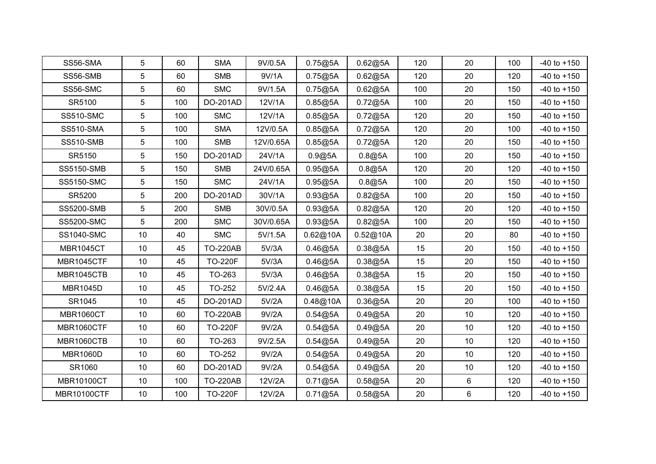| SS56-SMA           | 5               | 60  | <b>SMA</b>      | 9V/0.5A   | 0.75@5A  | 0.62@5A  | 120 | 20 | 100 | $-40$ to $+150$ |
|--------------------|-----------------|-----|-----------------|-----------|----------|----------|-----|----|-----|-----------------|
| SS56-SMB           | $5\phantom{.0}$ | 60  | <b>SMB</b>      | 9V/1A     | 0.75@5A  | 0.62@5A  | 120 | 20 | 120 | $-40$ to $+150$ |
| SS56-SMC           | $5\phantom{.0}$ | 60  | <b>SMC</b>      | 9V/1.5A   | 0.75@5A  | 0.62@5A  | 100 | 20 | 150 | $-40$ to $+150$ |
| SR5100             | $\sqrt{5}$      | 100 | DO-201AD        | 12V/1A    | 0.85@5A  | 0.72@5A  | 100 | 20 | 150 | $-40$ to $+150$ |
| <b>SS510-SMC</b>   | $\overline{5}$  | 100 | <b>SMC</b>      | 12V/1A    | 0.85@5A  | 0.72@5A  | 120 | 20 | 150 | $-40$ to $+150$ |
| <b>SS510-SMA</b>   | $\sqrt{5}$      | 100 | <b>SMA</b>      | 12V/0.5A  | 0.85@5A  | 0.72@5A  | 120 | 20 | 100 | $-40$ to $+150$ |
| <b>SS510-SMB</b>   | $\overline{5}$  | 100 | <b>SMB</b>      | 12V/0.65A | 0.85@5A  | 0.72@5A  | 120 | 20 | 150 | $-40$ to $+150$ |
| SR5150             | $5\phantom{.0}$ | 150 | DO-201AD        | 24V/1A    | 0.9@5A   | 0.8@5A   | 100 | 20 | 150 | $-40$ to $+150$ |
| <b>SS5150-SMB</b>  | $5\phantom{.0}$ | 150 | <b>SMB</b>      | 24V/0.65A | 0.95@5A  | 0.8@5A   | 120 | 20 | 120 | $-40$ to $+150$ |
| <b>SS5150-SMC</b>  | $5\phantom{.0}$ | 150 | <b>SMC</b>      | 24V/1A    | 0.95@5A  | 0.8@5A   | 100 | 20 | 150 | $-40$ to $+150$ |
| SR5200             | $\overline{5}$  | 200 | DO-201AD        | 30V/1A    | 0.93@5A  | 0.82@5A  | 100 | 20 | 150 | $-40$ to $+150$ |
| <b>SS5200-SMB</b>  | 5               | 200 | <b>SMB</b>      | 30V/0.5A  | 0.93@5A  | 0.82@5A  | 120 | 20 | 120 | $-40$ to $+150$ |
| <b>SS5200-SMC</b>  | 5               | 200 | <b>SMC</b>      | 30V/0.65A | 0.93@5A  | 0.82@5A  | 100 | 20 | 150 | $-40$ to $+150$ |
| <b>SS1040-SMC</b>  | 10              | 40  | <b>SMC</b>      | 5V/1.5A   | 0.62@10A | 0.52@10A | 20  | 20 | 80  | $-40$ to $+150$ |
| <b>MBR1045CT</b>   | 10              | 45  | <b>TO-220AB</b> | 5V/3A     | 0.46@5A  | 0.38@5A  | 15  | 20 | 150 | $-40$ to $+150$ |
| MBR1045CTF         | 10              | 45  | <b>TO-220F</b>  | 5V/3A     | 0.46@5A  | 0.38@5A  | 15  | 20 | 150 | $-40$ to $+150$ |
| MBR1045CTB         | 10              | 45  | TO-263          | 5V/3A     | 0.46@5A  | 0.38@5A  | 15  | 20 | 150 | $-40$ to $+150$ |
| <b>MBR1045D</b>    | 10              | 45  | TO-252          | 5V/2.4A   | 0.46@5A  | 0.38@5A  | 15  | 20 | 150 | $-40$ to $+150$ |
| SR1045             | 10              | 45  | DO-201AD        | 5V/2A     | 0.48@10A | 0.36@5A  | 20  | 20 | 100 | $-40$ to $+150$ |
| <b>MBR1060CT</b>   | 10              | 60  | <b>TO-220AB</b> | 9V/2A     | 0.54@5A  | 0.49@5A  | 20  | 10 | 120 | $-40$ to $+150$ |
| MBR1060CTF         | 10              | 60  | <b>TO-220F</b>  | 9V/2A     | 0.54@5A  | 0.49@5A  | 20  | 10 | 120 | $-40$ to $+150$ |
| <b>MBR1060CTB</b>  | 10              | 60  | TO-263          | 9V/2.5A   | 0.54@5A  | 0.49@5A  | 20  | 10 | 120 | $-40$ to $+150$ |
| <b>MBR1060D</b>    | 10              | 60  | TO-252          | 9V/2A     | 0.54@5A  | 0.49@5A  | 20  | 10 | 120 | $-40$ to $+150$ |
| SR1060             | 10              | 60  | DO-201AD        | 9V/2A     | 0.54@5A  | 0.49@5A  | 20  | 10 | 120 | $-40$ to $+150$ |
| <b>MBR10100CT</b>  | 10              | 100 | <b>TO-220AB</b> | 12V/2A    | 0.71@5A  | 0.58@5A  | 20  | 6  | 120 | $-40$ to $+150$ |
| <b>MBR10100CTF</b> | 10              | 100 | <b>TO-220F</b>  | 12V/2A    | 0.71@5A  | 0.58@5A  | 20  | 6  | 120 | $-40$ to $+150$ |
|                    |                 |     |                 |           |          |          |     |    |     |                 |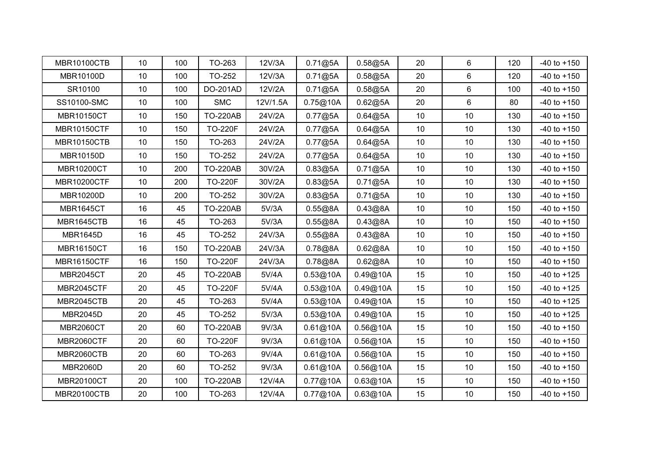| <b>MBR10100CTB</b> | 10              | 100 | TO-263          | 12V/3A   | 0.71@5A  | 0.58@5A  | 20 | 6               | 120 | $-40$ to $+150$ |
|--------------------|-----------------|-----|-----------------|----------|----------|----------|----|-----------------|-----|-----------------|
| MBR10100D          | 10 <sup>°</sup> | 100 | TO-252          | 12V/3A   | 0.71@5A  | 0.58@5A  | 20 | 6               | 120 | $-40$ to $+150$ |
| SR10100            | 10              | 100 | DO-201AD        | 12V/2A   | 0.71@5A  | 0.58@5A  | 20 | 6               | 100 | $-40$ to $+150$ |
| SS10100-SMC        | 10              | 100 | <b>SMC</b>      | 12V/1.5A | 0.75@10A | 0.62@5A  | 20 | 6               | 80  | $-40$ to $+150$ |
| <b>MBR10150CT</b>  | 10              | 150 | <b>TO-220AB</b> | 24V/2A   | 0.77@5A  | 0.64@5A  | 10 | 10              | 130 | $-40$ to $+150$ |
| <b>MBR10150CTF</b> | 10              | 150 | <b>TO-220F</b>  | 24V/2A   | 0.77@5A  | 0.64@5A  | 10 | $10$            | 130 | $-40$ to $+150$ |
| <b>MBR10150CTB</b> | 10              | 150 | TO-263          | 24V/2A   | 0.77@5A  | 0.64@5A  | 10 | 10              | 130 | $-40$ to $+150$ |
| MBR10150D          | 10 <sup>°</sup> | 150 | TO-252          | 24V/2A   | 0.77@5A  | 0.64@5A  | 10 | 10              | 130 | $-40$ to $+150$ |
| <b>MBR10200CT</b>  | 10 <sup>°</sup> | 200 | <b>TO-220AB</b> | 30V/2A   | 0.83@5A  | 0.71@5A  | 10 | 10              | 130 | $-40$ to $+150$ |
| <b>MBR10200CTF</b> | 10              | 200 | <b>TO-220F</b>  | 30V/2A   | 0.83@5A  | 0.71@5A  | 10 | 10              | 130 | $-40$ to $+150$ |
| MBR10200D          | 10              | 200 | TO-252          | 30V/2A   | 0.83@5A  | 0.71@5A  | 10 | 10              | 130 | $-40$ to $+150$ |
| <b>MBR1645CT</b>   | 16              | 45  | <b>TO-220AB</b> | 5V/3A    | 0.55@8A  | 0.43@8A  | 10 | 10              | 150 | $-40$ to $+150$ |
| MBR1645CTB         | 16              | 45  | TO-263          | 5V/3A    | 0.55@8A  | 0.43@8A  | 10 | 10              | 150 | $-40$ to $+150$ |
| <b>MBR1645D</b>    | 16              | 45  | TO-252          | 24V/3A   | 0.55@8A  | 0.43@8A  | 10 | 10              | 150 | $-40$ to $+150$ |
| <b>MBR16150CT</b>  | 16              | 150 | <b>TO-220AB</b> | 24V/3A   | 0.78@8A  | 0.62@8A  | 10 | 10              | 150 | $-40$ to $+150$ |
| <b>MBR16150CTF</b> | 16              | 150 | <b>TO-220F</b>  | 24V/3A   | 0.78@8A  | 0.62@8A  | 10 | 10              | 150 | $-40$ to $+150$ |
| <b>MBR2045CT</b>   | 20              | 45  | <b>TO-220AB</b> | 5V/4A    | 0.53@10A | 0.49@10A | 15 | 10              | 150 | $-40$ to $+125$ |
| MBR2045CTF         | 20              | 45  | <b>TO-220F</b>  | 5V/4A    | 0.53@10A | 0.49@10A | 15 | 10              | 150 | $-40$ to $+125$ |
| MBR2045CTB         | 20              | 45  | TO-263          | 5V/4A    | 0.53@10A | 0.49@10A | 15 | 10              | 150 | $-40$ to $+125$ |
| <b>MBR2045D</b>    | 20              | 45  | TO-252          | 5V/3A    | 0.53@10A | 0.49@10A | 15 | 10              | 150 | $-40$ to $+125$ |
| <b>MBR2060CT</b>   | 20              | 60  | <b>TO-220AB</b> | 9V/3A    | 0.61@10A | 0.56@10A | 15 | 10              | 150 | $-40$ to $+150$ |
| <b>MBR2060CTF</b>  | 20              | 60  | <b>TO-220F</b>  | 9V/3A    | 0.61@10A | 0.56@10A | 15 | 10 <sup>°</sup> | 150 | $-40$ to $+150$ |
| MBR2060CTB         | 20              | 60  | TO-263          | 9V/4A    | 0.61@10A | 0.56@10A | 15 | 10              | 150 | $-40$ to $+150$ |
| <b>MBR2060D</b>    | 20              | 60  | TO-252          | 9V/3A    | 0.61@10A | 0.56@10A | 15 | 10              | 150 | $-40$ to $+150$ |
| MBR20100CT         | 20              | 100 | <b>TO-220AB</b> | 12V/4A   | 0.77@10A | 0.63@10A | 15 | 10              | 150 | $-40$ to $+150$ |
| <b>MBR20100CTB</b> | 20              | 100 | TO-263          | 12V/4A   | 0.77@10A | 0.63@10A | 15 | 10              | 150 | $-40$ to $+150$ |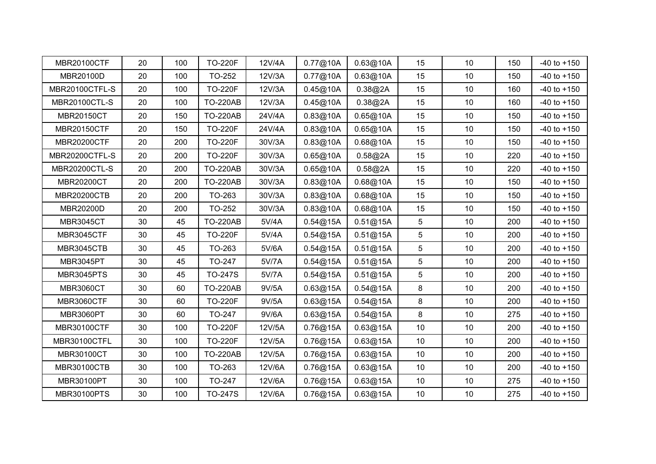| <b>MBR20100CTF</b>   | 20 | 100 | <b>TO-220F</b>  | 12V/4A | 0.77@10A | 0.63@10A | 15              | 10              | 150 | $-40$ to $+150$ |
|----------------------|----|-----|-----------------|--------|----------|----------|-----------------|-----------------|-----|-----------------|
| MBR20100D            | 20 | 100 | TO-252          | 12V/3A | 0.77@10A | 0.63@10A | 15              | 10              | 150 | $-40$ to $+150$ |
| MBR20100CTFL-S       | 20 | 100 | <b>TO-220F</b>  | 12V/3A | 0.45@10A | 0.38@2A  | 15              | 10              | 160 | $-40$ to $+150$ |
| <b>MBR20100CTL-S</b> | 20 | 100 | <b>TO-220AB</b> | 12V/3A | 0.45@10A | 0.38@2A  | 15              | 10              | 160 | $-40$ to $+150$ |
| <b>MBR20150CT</b>    | 20 | 150 | <b>TO-220AB</b> | 24V/4A | 0.83@10A | 0.65@10A | 15              | 10              | 150 | $-40$ to $+150$ |
| <b>MBR20150CTF</b>   | 20 | 150 | <b>TO-220F</b>  | 24V/4A | 0.83@10A | 0.65@10A | 15              | $10$            | 150 | $-40$ to $+150$ |
| <b>MBR20200CTF</b>   | 20 | 200 | <b>TO-220F</b>  | 30V/3A | 0.83@10A | 0.68@10A | 15              | 10              | 150 | $-40$ to $+150$ |
| MBR20200CTFL-S       | 20 | 200 | <b>TO-220F</b>  | 30V/3A | 0.65@10A | 0.58@2A  | 15              | 10              | 220 | $-40$ to $+150$ |
| <b>MBR20200CTL-S</b> | 20 | 200 | <b>TO-220AB</b> | 30V/3A | 0.65@10A | 0.58@2A  | 15              | 10              | 220 | $-40$ to $+150$ |
| MBR20200CT           | 20 | 200 | <b>TO-220AB</b> | 30V/3A | 0.83@10A | 0.68@10A | 15              | 10              | 150 | $-40$ to $+150$ |
| <b>MBR20200CTB</b>   | 20 | 200 | TO-263          | 30V/3A | 0.83@10A | 0.68@10A | 15              | 10              | 150 | $-40$ to $+150$ |
| MBR20200D            | 20 | 200 | TO-252          | 30V/3A | 0.83@10A | 0.68@10A | 15              | 10              | 150 | $-40$ to $+150$ |
| <b>MBR3045CT</b>     | 30 | 45  | <b>TO-220AB</b> | 5V/4A  | 0.54@15A | 0.51@15A | 5 <sup>5</sup>  | 10              | 200 | $-40$ to $+150$ |
| <b>MBR3045CTF</b>    | 30 | 45  | <b>TO-220F</b>  | 5V/4A  | 0.54@15A | 0.51@15A | $5\phantom{.0}$ | 10              | 200 | $-40$ to $+150$ |
| MBR3045CTB           | 30 | 45  | TO-263          | 5V/6A  | 0.54@15A | 0.51@15A | $5\phantom{.0}$ | 10              | 200 | $-40$ to $+150$ |
| MBR3045PT            | 30 | 45  | TO-247          | 5V/7A  | 0.54@15A | 0.51@15A | 5               | 10              | 200 | $-40$ to $+150$ |
| MBR3045PTS           | 30 | 45  | <b>TO-247S</b>  | 5V/7A  | 0.54@15A | 0.51@15A | 5 <sup>5</sup>  | 10              | 200 | $-40$ to $+150$ |
| <b>MBR3060CT</b>     | 30 | 60  | <b>TO-220AB</b> | 9V/5A  | 0.63@15A | 0.54@15A | 8               | 10              | 200 | $-40$ to $+150$ |
| MBR3060CTF           | 30 | 60  | <b>TO-220F</b>  | 9V/5A  | 0.63@15A | 0.54@15A | 8               | 10              | 200 | $-40$ to $+150$ |
| MBR3060PT            | 30 | 60  | TO-247          | 9V/6A  | 0.63@15A | 0.54@15A | 8               | 10              | 275 | $-40$ to $+150$ |
| <b>MBR30100CTF</b>   | 30 | 100 | <b>TO-220F</b>  | 12V/5A | 0.76@15A | 0.63@15A | 10              | 10              | 200 | $-40$ to $+150$ |
| MBR30100CTFL         | 30 | 100 | <b>TO-220F</b>  | 12V/5A | 0.76@15A | 0.63@15A | 10              | 10 <sup>°</sup> | 200 | $-40$ to $+150$ |
| MBR30100CT           | 30 | 100 | <b>TO-220AB</b> | 12V/5A | 0.76@15A | 0.63@15A | 10              | 10              | 200 | $-40$ to $+150$ |
| <b>MBR30100CTB</b>   | 30 | 100 | TO-263          | 12V/6A | 0.76@15A | 0.63@15A | 10              | 10              | 200 | $-40$ to $+150$ |
| MBR30100PT           | 30 | 100 | TO-247          | 12V/6A | 0.76@15A | 0.63@15A | 10              | 10              | 275 | $-40$ to $+150$ |
| <b>MBR30100PTS</b>   | 30 | 100 | <b>TO-247S</b>  | 12V/6A | 0.76@15A | 0.63@15A | 10              | 10              | 275 | $-40$ to $+150$ |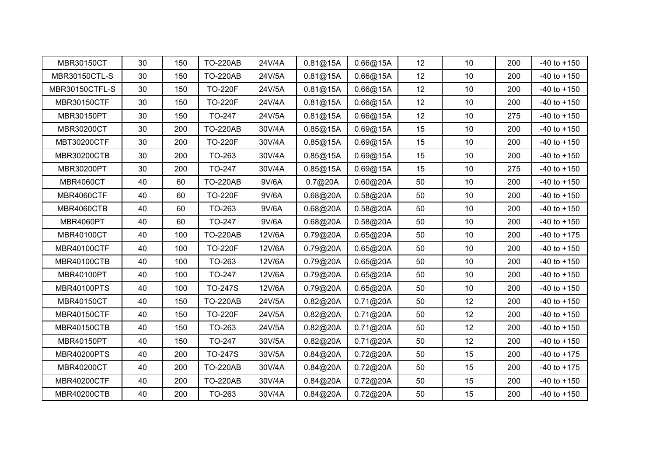| MBR30150CT           | 30 | 150 | <b>TO-220AB</b> | 24V/4A | 0.81@15A | 0.66@15A | 12 | 10              | 200 | $-40$ to $+150$ |
|----------------------|----|-----|-----------------|--------|----------|----------|----|-----------------|-----|-----------------|
| <b>MBR30150CTL-S</b> | 30 | 150 | <b>TO-220AB</b> | 24V/5A | 0.81@15A | 0.66@15A | 12 | 10              | 200 | $-40$ to $+150$ |
| MBR30150CTFL-S       | 30 | 150 | <b>TO-220F</b>  | 24V/5A | 0.81@15A | 0.66@15A | 12 | 10 <sup>°</sup> | 200 | $-40$ to $+150$ |
| <b>MBR30150CTF</b>   | 30 | 150 | <b>TO-220F</b>  | 24V/4A | 0.81@15A | 0.66@15A | 12 | 10              | 200 | $-40$ to $+150$ |
| MBR30150PT           | 30 | 150 | TO-247          | 24V/5A | 0.81@15A | 0.66@15A | 12 | 10              | 275 | $-40$ to $+150$ |
| MBR30200CT           | 30 | 200 | <b>TO-220AB</b> | 30V/4A | 0.85@15A | 0.69@15A | 15 | 10 <sup>°</sup> | 200 | $-40$ to $+150$ |
| MBT30200CTF          | 30 | 200 | <b>TO-220F</b>  | 30V/4A | 0.85@15A | 0.69@15A | 15 | 10              | 200 | $-40$ to $+150$ |
| <b>MBR30200CTB</b>   | 30 | 200 | TO-263          | 30V/4A | 0.85@15A | 0.69@15A | 15 | 10              | 200 | $-40$ to $+150$ |
| MBR30200PT           | 30 | 200 | TO-247          | 30V/4A | 0.85@15A | 0.69@15A | 15 | 10              | 275 | $-40$ to $+150$ |
| <b>MBR4060CT</b>     | 40 | 60  | <b>TO-220AB</b> | 9V/6A  | 0.7@20A  | 0.60@20A | 50 | 10 <sup>°</sup> | 200 | $-40$ to $+150$ |
| MBR4060CTF           | 40 | 60  | <b>TO-220F</b>  | 9V/6A  | 0.68@20A | 0.58@20A | 50 | 10              | 200 | $-40$ to $+150$ |
| MBR4060CTB           | 40 | 60  | TO-263          | 9V/6A  | 0.68@20A | 0.58@20A | 50 | 10              | 200 | $-40$ to $+150$ |
| MBR4060PT            | 40 | 60  | TO-247          | 9V/6A  | 0.68@20A | 0.58@20A | 50 | $10$            | 200 | $-40$ to $+150$ |
| MBR40100CT           | 40 | 100 | <b>TO-220AB</b> | 12V/6A | 0.79@20A | 0.65@20A | 50 | 10              | 200 | $-40$ to $+175$ |
| <b>MBR40100CTF</b>   | 40 | 100 | <b>TO-220F</b>  | 12V/6A | 0.79@20A | 0.65@20A | 50 | 10              | 200 | $-40$ to $+150$ |
| <b>MBR40100CTB</b>   | 40 | 100 | TO-263          | 12V/6A | 0.79@20A | 0.65@20A | 50 | 10              | 200 | $-40$ to $+150$ |
| MBR40100PT           | 40 | 100 | TO-247          | 12V/6A | 0.79@20A | 0.65@20A | 50 | 10 <sup>°</sup> | 200 | $-40$ to $+150$ |
| <b>MBR40100PTS</b>   | 40 | 100 | <b>TO-247S</b>  | 12V/6A | 0.79@20A | 0.65@20A | 50 | 10 <sup>°</sup> | 200 | $-40$ to $+150$ |
| MBR40150CT           | 40 | 150 | <b>TO-220AB</b> | 24V/5A | 0.82@20A | 0.71@20A | 50 | 12              | 200 | $-40$ to $+150$ |
| <b>MBR40150CTF</b>   | 40 | 150 | <b>TO-220F</b>  | 24V/5A | 0.82@20A | 0.71@20A | 50 | 12              | 200 | $-40$ to $+150$ |
| <b>MBR40150CTB</b>   | 40 | 150 | TO-263          | 24V/5A | 0.82@20A | 0.71@20A | 50 | 12              | 200 | $-40$ to $+150$ |
| MBR40150PT           | 40 | 150 | TO-247          | 30V/5A | 0.82@20A | 0.71@20A | 50 | 12              | 200 | $-40$ to $+150$ |
| <b>MBR40200PTS</b>   | 40 | 200 | <b>TO-247S</b>  | 30V/5A | 0.84@20A | 0.72@20A | 50 | 15              | 200 | $-40$ to $+175$ |
| MBR40200CT           | 40 | 200 | <b>TO-220AB</b> | 30V/4A | 0.84@20A | 0.72@20A | 50 | 15              | 200 | $-40$ to $+175$ |
| <b>MBR40200CTF</b>   | 40 | 200 | <b>TO-220AB</b> | 30V/4A | 0.84@20A | 0.72@20A | 50 | 15              | 200 | $-40$ to $+150$ |
| <b>MBR40200CTB</b>   | 40 | 200 | TO-263          | 30V/4A | 0.84@20A | 0.72@20A | 50 | 15              | 200 | $-40$ to $+150$ |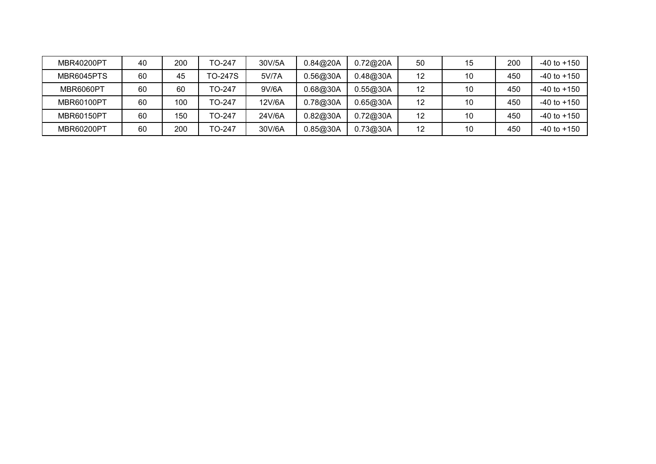| MBR40200PT        | 40 | 200 | TO-247         | 30V/5A | 0.84@20A | 0.72@20A | 50 | 15 | 200 | $-40$ to $+150$ |
|-------------------|----|-----|----------------|--------|----------|----------|----|----|-----|-----------------|
| MBR6045PTS        | 60 | 45  | <b>TO-247S</b> | 5V/7A  | 0.56@30A | 0.48@30A | 12 | 10 | 450 | $-40$ to $+150$ |
| MBR6060PT         | 60 | 60  | TO-247         | 9V/6A  | 0.68@30A | 0.55@30A | 12 | 10 | 450 | $-40$ to $+150$ |
| <b>MBR60100PT</b> | 60 | 100 | TO-247         | 12V/6A | 0.78@30A | 0.65@30A | 12 | 10 | 450 | $-40$ to $+150$ |
| MBR60150PT        | 60 | 150 | TO-247         | 24V/6A | 0.82@30A | 0.72@30A | 12 | 10 | 450 | $-40$ to $+150$ |
| MBR60200PT        | 60 | 200 | TO-247         | 30V/6A | 0.85@30A | 0.73@30A | 12 | 10 | 450 | $-40$ to $+150$ |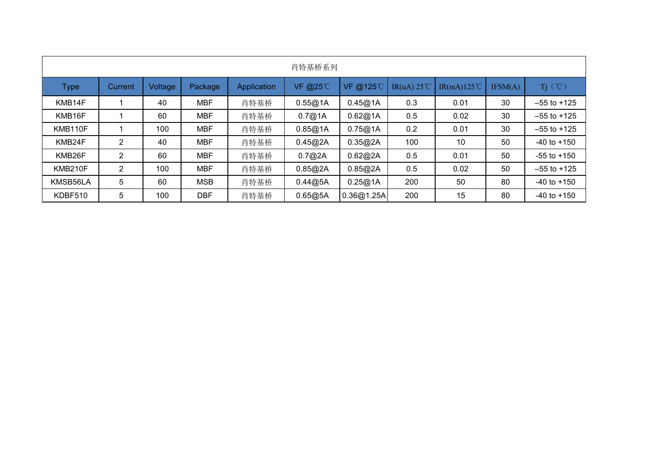|          |                |         |            |             | 肖特基桥系列  |            |     |                                            |         |                 |
|----------|----------------|---------|------------|-------------|---------|------------|-----|--------------------------------------------|---------|-----------------|
| Type     | Current        | Voltage | Package    | Application | VF @25℃ | VF @125°C  |     | IR(uA) $25^{\circ}$   IR(mA) $125^{\circ}$ | IFSM(A) | $Tj$ (°C)       |
| KMB14F   |                | 40      | <b>MBF</b> | 肖特基桥        | 0.55@1A | 0.45@1A    | 0.3 | 0.01                                       | 30      | $-55$ to $+125$ |
| KMB16F   |                | 60      | <b>MBF</b> | 肖特基桥        | 0.7@1A  | 0.62@1A    | 0.5 | 0.02                                       | 30      | $-55$ to $+125$ |
| KMB110F  |                | 100     | <b>MBF</b> | 肖特基桥        | 0.85@1A | 0.75@1A    | 0.2 | 0.01                                       | 30      | $-55$ to $+125$ |
| KMB24F   | $\overline{2}$ | 40      | <b>MBF</b> | 肖特基桥        | 0.45@2A | 0.35@2A    | 100 | 10                                         | 50      | $-40$ to $+150$ |
| KMB26F   | $\overline{2}$ | 60      | <b>MBF</b> | 肖特基桥        | 0.7@2A  | 0.62@2A    | 0.5 | 0.01                                       | 50      | $-55$ to $+150$ |
| KMB210F  | $\overline{2}$ | 100     | <b>MBF</b> | 肖特基桥        | 0.85@2A | 0.85@2A    | 0.5 | 0.02                                       | 50      | $-55$ to $+125$ |
| KMSB56LA | $\sqrt{5}$     | 60      | <b>MSB</b> | 肖特基桥        | 0.44@5A | 0.25@1A    | 200 | 50                                         | 80      | $-40$ to $+150$ |
| KDBF510  | 5              | 100     | <b>DBF</b> | 肖特基桥        | 0.65@5A | 0.36@1.25A | 200 | 15                                         | 80      | $-40$ to $+150$ |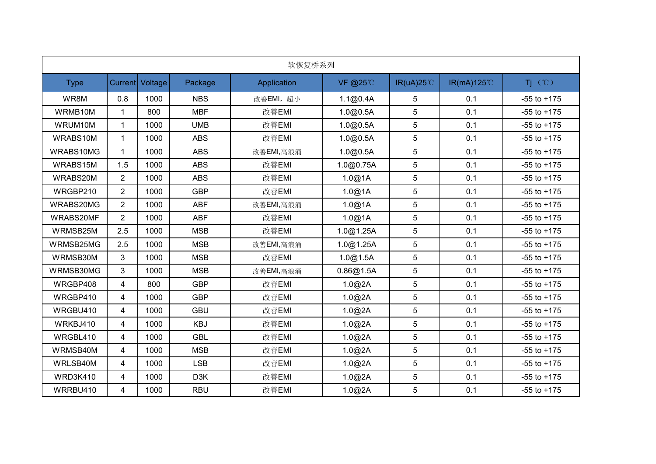|                 | 软恢复桥系列         |                 |                  |             |           |                    |            |                 |  |  |  |  |
|-----------------|----------------|-----------------|------------------|-------------|-----------|--------------------|------------|-----------------|--|--|--|--|
| <b>Type</b>     |                | Current Voltage | Package          | Application | VF @25°C  | $IR(uA)25^{\circ}$ | IR(mA)125℃ | $Tj$ $(°C)$     |  |  |  |  |
| WR8M            | 0.8            | 1000            | <b>NBS</b>       | 改善EMI, 超小   | 1.1@0.4A  | 5                  | 0.1        | $-55$ to $+175$ |  |  |  |  |
| WRMB10M         | $\mathbf{1}$   | 800             | <b>MBF</b>       | 改善EMI       | 1.0@0.5A  | 5                  | 0.1        | $-55$ to $+175$ |  |  |  |  |
| WRUM10M         | $\mathbf{1}$   | 1000            | <b>UMB</b>       | 改善EMI       | 1.0@0.5A  | 5                  | 0.1        | $-55$ to $+175$ |  |  |  |  |
| WRABS10M        | $\mathbf 1$    | 1000            | <b>ABS</b>       | 改善EMI       | 1.0@0.5A  | 5                  | 0.1        | $-55$ to $+175$ |  |  |  |  |
| WRABS10MG       |                | 1000            | <b>ABS</b>       | 改善EMI,高浪涌   | 1.0@0.5A  | 5                  | 0.1        | $-55$ to $+175$ |  |  |  |  |
| WRABS15M        | 1.5            | 1000            | <b>ABS</b>       | 改善EMI       | 1.0@0.75A | 5                  | 0.1        | $-55$ to $+175$ |  |  |  |  |
| WRABS20M        | $\overline{2}$ | 1000            | <b>ABS</b>       | 改善EMI       | 1.0@1A    | 5                  | 0.1        | $-55$ to $+175$ |  |  |  |  |
| WRGBP210        | $\overline{2}$ | 1000            | <b>GBP</b>       | 改善EMI       | 1.0@1A    | 5                  | 0.1        | $-55$ to $+175$ |  |  |  |  |
| WRABS20MG       | $\overline{2}$ | 1000            | <b>ABF</b>       | 改善EMI,高浪涌   | 1.0@1A    | $5\phantom{.0}$    | 0.1        | $-55$ to $+175$ |  |  |  |  |
| WRABS20MF       | $\overline{2}$ | 1000            | <b>ABF</b>       | 改善EMI       | 1.0@1A    | 5                  | 0.1        | $-55$ to $+175$ |  |  |  |  |
| WRMSB25M        | 2.5            | 1000            | <b>MSB</b>       | 改善EMI       | 1.0@1.25A | 5                  | 0.1        | $-55$ to $+175$ |  |  |  |  |
| WRMSB25MG       | 2.5            | 1000            | <b>MSB</b>       | 改善EMI,高浪涌   | 1.0@1.25A | $5\phantom{.0}$    | 0.1        | $-55$ to $+175$ |  |  |  |  |
| WRMSB30M        | 3              | 1000            | <b>MSB</b>       | 改善EMI       | 1.0@1.5A  | 5                  | 0.1        | $-55$ to $+175$ |  |  |  |  |
| WRMSB30MG       | 3 <sup>1</sup> | 1000            | <b>MSB</b>       | 改善EMI,高浪涌   | 0.86@1.5A | 5                  | 0.1        | $-55$ to $+175$ |  |  |  |  |
| WRGBP408        | 4              | 800             | <b>GBP</b>       | 改善EMI       | 1.0@2A    | 5                  | 0.1        | $-55$ to $+175$ |  |  |  |  |
| WRGBP410        | $\overline{4}$ | 1000            | <b>GBP</b>       | 改善EMI       | 1.0@2A    | $5\phantom{.0}$    | 0.1        | $-55$ to $+175$ |  |  |  |  |
| WRGBU410        | $\overline{4}$ | 1000            | <b>GBU</b>       | 改善EMI       | 1.0@2A    | $5\phantom{.0}$    | 0.1        | $-55$ to $+175$ |  |  |  |  |
| WRKBJ410        | $\overline{4}$ | 1000            | <b>KBJ</b>       | 改善EMI       | 1.0@2A    | 5                  | 0.1        | $-55$ to $+175$ |  |  |  |  |
| WRGBL410        | $\overline{4}$ | 1000            | <b>GBL</b>       | 改善EMI       | 1.0@2A    | 5                  | 0.1        | $-55$ to $+175$ |  |  |  |  |
| WRMSB40M        | $\overline{4}$ | 1000            | <b>MSB</b>       | 改善EMI       | 1.0@2A    | 5                  | 0.1        | $-55$ to $+175$ |  |  |  |  |
| WRLSB40M        | $\overline{4}$ | 1000            | <b>LSB</b>       | 改善EMI       | 1.0@2A    | $5\phantom{.0}$    | 0.1        | $-55$ to $+175$ |  |  |  |  |
| <b>WRD3K410</b> | 4              | 1000            | D <sub>3</sub> K | 改善EMI       | 1.0@2A    | $5\phantom{.0}$    | 0.1        | $-55$ to $+175$ |  |  |  |  |
| WRRBU410        | 4              | 1000            | <b>RBU</b>       | 改善EMI       | 1.0@2A    | 5                  | 0.1        | $-55$ to $+175$ |  |  |  |  |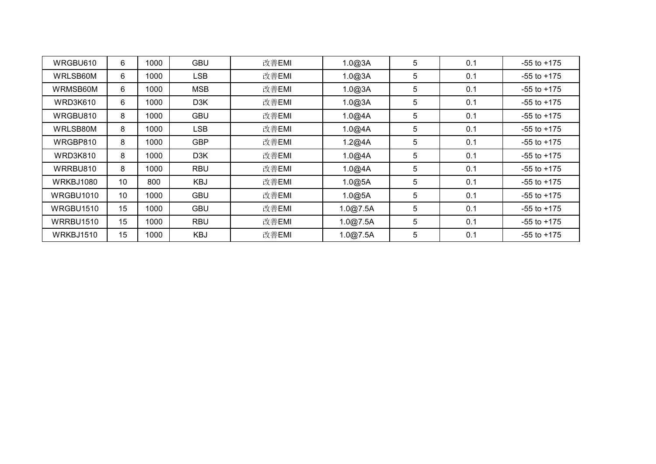| WRGBU610        | 6               | 1000 | <b>GBU</b>       | 改善EMI | 1.0@3A   | 5 | 0.1 | $-55$ to $+175$ |
|-----------------|-----------------|------|------------------|-------|----------|---|-----|-----------------|
| WRLSB60M        | 6               | 1000 | <b>LSB</b>       | 改善EMI | 1.0@3A   | 5 | 0.1 | $-55$ to $+175$ |
| WRMSB60M        | 6               | 1000 | <b>MSB</b>       | 改善EMI | 1.0@3A   | 5 | 0.1 | $-55$ to $+175$ |
| WRD3K610        | 6               | 1000 | D3K              | 改善EMI | 1.0@3A   | 5 | 0.1 | $-55$ to $+175$ |
| WRGBU810        | 8               | 1000 | <b>GBU</b>       | 改善EMI | 1.0@4A   | 5 | 0.1 | $-55$ to $+175$ |
| WRLSB80M        | 8               | 1000 | <b>LSB</b>       | 改善EMI | 1.0@4A   | 5 | 0.1 | $-55$ to $+175$ |
| WRGBP810        | 8               | 1000 | <b>GBP</b>       | 改善EMI | 1.2@4A   | 5 | 0.1 | $-55$ to $+175$ |
| <b>WRD3K810</b> | 8               | 1000 | D <sub>3</sub> K | 改善EMI | 1.0@4A   | 5 | 0.1 | $-55$ to $+175$ |
| WRRBU810        | 8               | 1000 | <b>RBU</b>       | 改善EMI | 1.0@4A   | 5 | 0.1 | $-55$ to $+175$ |
| WRKBJ1080       | 10 <sup>°</sup> | 800  | KBJ              | 改善EMI | 1.0@5A   | 5 | 0.1 | $-55$ to $+175$ |
| WRGBU1010       | 10              | 1000 | <b>GBU</b>       | 改善EMI | 1.0@5A   | 5 | 0.1 | $-55$ to $+175$ |
| WRGBU1510       | 15              | 1000 | <b>GBU</b>       | 改善EMI | 1.0@7.5A | 5 | 0.1 | $-55$ to $+175$ |
| WRRBU1510       | 15              | 1000 | <b>RBU</b>       | 改善EMI | .0@7.5A  | 5 | 0.1 | $-55$ to $+175$ |
| WRKBJ1510       | 15              | 1000 | <b>KBJ</b>       | 改善EMI | 1.0@7.5A | 5 | 0.1 | $-55$ to $+175$ |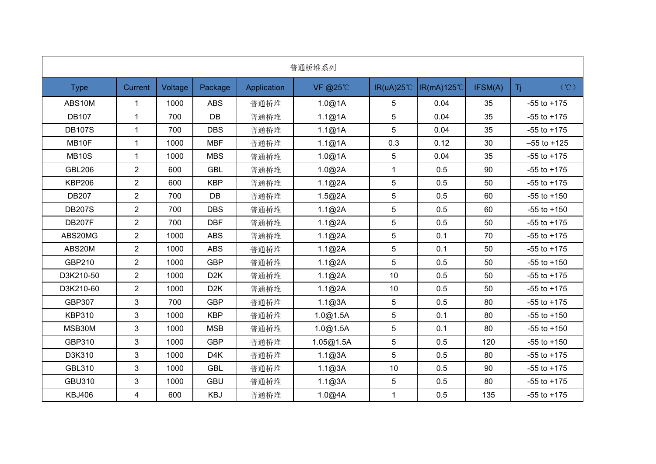|               |                |         |                  |             | 普通桥堆系列    |                      |                   |         |                                |
|---------------|----------------|---------|------------------|-------------|-----------|----------------------|-------------------|---------|--------------------------------|
| <b>Type</b>   | Current        | Voltage | Package          | Application | VF @25℃   | $IR(uA)25^{\circ}$ C | <b>IR(mA)125℃</b> | IFSM(A) | $(C^{\circ}\mathbb{C})$<br>Tj. |
| ABS10M        | $\mathbf{1}$   | 1000    | <b>ABS</b>       | 普通桥堆        | 1.0@1A    | $\sqrt{5}$           | 0.04              | 35      | $-55$ to $+175$                |
| <b>DB107</b>  | $\mathbf{1}$   | 700     | DB               | 普通桥堆        | 1.1@1A    | 5                    | 0.04              | 35      | $-55$ to $+175$                |
| <b>DB107S</b> | 1              | 700     | <b>DBS</b>       | 普通桥堆        | 1.1@1A    | $\sqrt{5}$           | 0.04              | 35      | $-55$ to $+175$                |
| MB10F         | 1              | 1000    | <b>MBF</b>       | 普通桥堆        | 1.1@1A    | 0.3                  | 0.12              | 30      | $-55$ to $+125$                |
| <b>MB10S</b>  | $\mathbf{1}$   | 1000    | <b>MBS</b>       | 普通桥堆        | 1.0@1A    | $\sqrt{5}$           | 0.04              | 35      | $-55$ to $+175$                |
| <b>GBL206</b> | $\overline{2}$ | 600     | <b>GBL</b>       | 普通桥堆        | 1.0@2A    | $\mathbf{1}$         | 0.5               | 90      | $-55$ to $+175$                |
| <b>KBP206</b> | $\overline{a}$ | 600     | <b>KBP</b>       | 普通桥堆        | 1.1@2A    | $\sqrt{5}$           | 0.5               | 50      | $-55$ to $+175$                |
| <b>DB207</b>  | $\overline{2}$ | 700     | DB               | 普通桥堆        | 1.5@2A    | $\sqrt{5}$           | 0.5               | 60      | $-55$ to $+150$                |
| <b>DB207S</b> | $\overline{2}$ | 700     | <b>DBS</b>       | 普通桥堆        | 1.1@2A    | 5                    | 0.5               | 60      | $-55$ to $+150$                |
| <b>DB207F</b> | $\overline{2}$ | 700     | <b>DBF</b>       | 普通桥堆        | 1.1@2A    | $\sqrt{5}$           | 0.5               | 50      | $-55$ to $+175$                |
| ABS20MG       | $\overline{2}$ | 1000    | <b>ABS</b>       | 普通桥堆        | 1.1@2A    | $\sqrt{5}$           | 0.1               | 70      | $-55$ to $+175$                |
| ABS20M        | $\overline{2}$ | 1000    | <b>ABS</b>       | 普通桥堆        | 1.1@2A    | $\sqrt{5}$           | 0.1               | 50      | $-55$ to $+175$                |
| GBP210        | $\overline{2}$ | 1000    | <b>GBP</b>       | 普通桥堆        | 1.1@2A    | 5                    | 0.5               | 50      | $-55$ to $+150$                |
| D3K210-50     | $\overline{2}$ | 1000    | D <sub>2</sub> K | 普通桥堆        | 1.1@2A    | 10                   | 0.5               | 50      | $-55$ to $+175$                |
| D3K210-60     | $\overline{2}$ | 1000    | D <sub>2</sub> K | 普通桥堆        | 1.1@2A    | 10                   | 0.5               | 50      | $-55$ to $+175$                |
| GBP307        | 3              | 700     | <b>GBP</b>       | 普通桥堆        | 1.1@3A    | $\sqrt{5}$           | 0.5               | 80      | $-55$ to $+175$                |
| <b>KBP310</b> | 3              | 1000    | <b>KBP</b>       | 普通桥堆        | 1.0@1.5A  | $\sqrt{5}$           | 0.1               | 80      | $-55$ to $+150$                |
| MSB30M        | 3              | 1000    | <b>MSB</b>       | 普通桥堆        | 1.0@1.5A  | 5                    | 0.1               | 80      | $-55$ to $+150$                |
| GBP310        | 3              | 1000    | <b>GBP</b>       | 普通桥堆        | 1.05@1.5A | $\sqrt{5}$           | 0.5               | 120     | $-55$ to $+150$                |
| D3K310        | 3              | 1000    | D4K              | 普通桥堆        | 1.1@3A    | $\sqrt{5}$           | 0.5               | 80      | $-55$ to $+175$                |
| GBL310        | 3              | 1000    | <b>GBL</b>       | 普通桥堆        | 1.1@3A    | 10                   | 0.5               | 90      | $-55$ to $+175$                |
| <b>GBU310</b> | 3              | 1000    | <b>GBU</b>       | 普通桥堆        | 1.1@3A    | $\sqrt{5}$           | 0.5               | 80      | $-55$ to $+175$                |
| <b>KBJ406</b> | 4              | 600     | <b>KBJ</b>       | 普通桥堆        | 1.0@4A    | 1                    | 0.5               | 135     | $-55$ to $+175$                |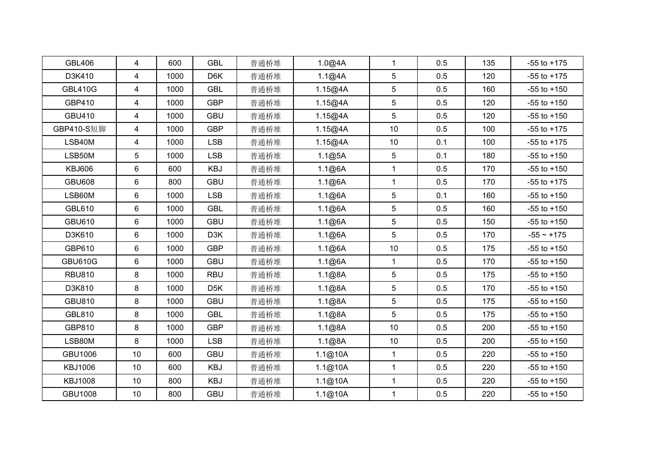| <b>GBL</b><br><b>GBL406</b><br>$\overline{4}$<br>普通桥堆<br>600   | 1.0@4A  | $\mathbf{1}$    | 0.5 | 135 | $-55$ to $+175$ |
|----------------------------------------------------------------|---------|-----------------|-----|-----|-----------------|
| D3K410<br>4<br>1000<br>D6K<br>普通桥堆                             | 1.1@4A  | 5               | 0.5 | 120 | $-55$ to $+175$ |
| <b>GBL410G</b><br><b>GBL</b><br>$\overline{4}$<br>1000<br>普通桥堆 | 1.15@4A | 5               | 0.5 | 160 | $-55$ to $+150$ |
| GBP410<br><b>GBP</b><br>4<br>1000<br>普通桥堆                      | 1.15@4A | 5               | 0.5 | 120 | $-55$ to $+150$ |
| $\overline{4}$<br><b>GBU</b><br>GBU410<br>1000<br>普通桥堆         | 1.15@4A | 5               | 0.5 | 120 | $-55$ to $+150$ |
| GBP410-S短脚<br>$\overline{4}$<br><b>GBP</b><br>1000<br>普通桥堆     | 1.15@4A | 10              | 0.5 | 100 | $-55$ to $+175$ |
| LSB40M<br>$\overline{4}$<br><b>LSB</b><br>1000<br>普通桥堆         | 1.15@4A | 10 <sup>°</sup> | 0.1 | 100 | $-55$ to $+175$ |
| 5<br>LSB50M<br>1000<br><b>LSB</b><br>普通桥堆                      | 1.1@5A  | 5               | 0.1 | 180 | $-55$ to $+150$ |
| 6<br>KBJ<br><b>KBJ606</b><br>600<br>普通桥堆                       | 1.1@6A  | $\mathbf{1}$    | 0.5 | 170 | $-55$ to $+150$ |
| <b>GBU608</b><br>6<br>800<br><b>GBU</b><br>普通桥堆                | 1.1@6A  | $\mathbf{1}$    | 0.5 | 170 | $-55$ to $+175$ |
| 6<br>LSB60M<br><b>LSB</b><br>1000<br>普通桥堆                      | 1.1@6A  | 5               | 0.1 | 160 | $-55$ to $+150$ |
| <b>GBL610</b><br>6<br>1000<br><b>GBL</b><br>普通桥堆               | 1.1@6A  | 5               | 0.5 | 160 | $-55$ to $+150$ |
| 6<br><b>GBU610</b><br>1000<br><b>GBU</b><br>普通桥堆               | 1.1@6A  | 5               | 0.5 | 150 | $-55$ to $+150$ |
| 6<br>D3K610<br>1000<br>D3K<br>普通桥堆                             | 1.1@6A  | $5\phantom{.0}$ | 0.5 | 170 | $-55 - +175$    |
| $6\phantom{a}$<br>GBP610<br><b>GBP</b><br>1000<br>普通桥堆         | 1.1@6A  | 10              | 0.5 | 175 | $-55$ to $+150$ |
| 6<br>GBU<br><b>GBU610G</b><br>1000<br>普通桥堆                     | 1.1@6A  | $\mathbf{1}$    | 0.5 | 170 | $-55$ to $+150$ |
| 8<br><b>RBU</b><br><b>RBU810</b><br>1000<br>普通桥堆               | 1.1@8A  | 5               | 0.5 | 175 | $-55$ to $+150$ |
| D3K810<br>8<br>1000<br>D <sub>5</sub> K<br>普通桥堆                | 1.1@8A  | 5               | 0.5 | 170 | $-55$ to $+150$ |
| <b>GBU810</b><br>8<br><b>GBU</b><br>1000<br>普通桥堆               | 1.1@8A  | 5               | 0.5 | 175 | $-55$ to $+150$ |
| GBL810<br>8<br><b>GBL</b><br>1000<br>普通桥堆                      | 1.1@8A  | 5               | 0.5 | 175 | $-55$ to $+150$ |
| 8<br><b>GBP</b><br>GBP810<br>1000<br>普通桥堆                      | 1.1@8A  | 10              | 0.5 | 200 | $-55$ to $+150$ |
| 8<br>LSB80M<br>1000<br><b>LSB</b><br>普通桥堆                      | 1.1@8A  | 10 <sup>°</sup> | 0.5 | 200 | $-55$ to $+150$ |
| GBU1006<br>10<br><b>GBU</b><br>普通桥堆<br>600                     | 1.1@10A | $\mathbf{1}$    | 0.5 | 220 | $-55$ to $+150$ |
| <b>KBJ1006</b><br>KBJ<br>10<br>600<br>普通桥堆                     | 1.1@10A | $\mathbf{1}$    | 0.5 | 220 | $-55$ to $+150$ |
| <b>KBJ1008</b><br>10<br>800<br>KBJ<br>普通桥堆                     | 1.1@10A | $\mathbf{1}$    | 0.5 | 220 | $-55$ to $+150$ |
| <b>GBU1008</b><br>10 <sup>°</sup><br><b>GBU</b><br>800<br>普通桥堆 | 1.1@10A | $\mathbf{1}$    | 0.5 | 220 | $-55$ to $+150$ |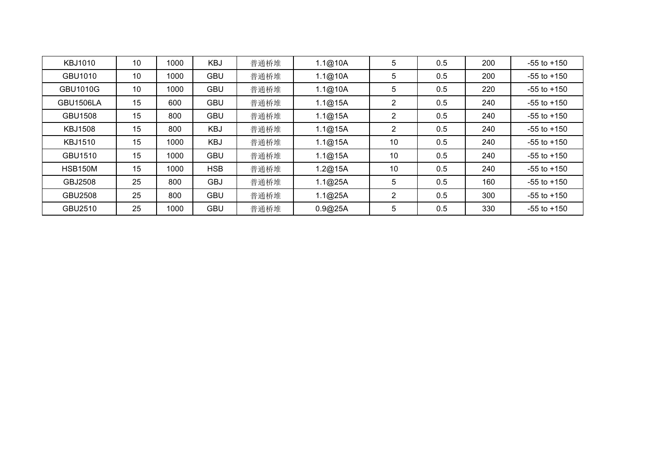| KBJ1010          | 10 | 1000 | KBJ        | 普通桥堆 | 1.1@10A | 5              | 0.5 | 200 | $-55$ to $+150$ |
|------------------|----|------|------------|------|---------|----------------|-----|-----|-----------------|
| GBU1010          | 10 | 1000 | <b>GBU</b> | 普通桥堆 | 1.1@10A | 5              | 0.5 | 200 | $-55$ to $+150$ |
| <b>GBU1010G</b>  | 10 | 1000 | <b>GBU</b> | 普通桥堆 | 1.1@10A | 5              | 0.5 | 220 | $-55$ to $+150$ |
| <b>GBU1506LA</b> | 15 | 600  | <b>GBU</b> | 普通桥堆 | 1.1@15A | 2              | 0.5 | 240 | $-55$ to $+150$ |
| <b>GBU1508</b>   | 15 | 800  | <b>GBU</b> | 普通桥堆 | 1.1@15A | 2              | 0.5 | 240 | $-55$ to $+150$ |
| <b>KBJ1508</b>   | 15 | 800  | KBJ        | 普通桥堆 | 1.1@15A | $\overline{2}$ | 0.5 | 240 | $-55$ to $+150$ |
| <b>KBJ1510</b>   | 15 | 1000 | KBJ        | 普通桥堆 | 1.1@15A | 10             | 0.5 | 240 | $-55$ to $+150$ |
| GBU1510          | 15 | 1000 | <b>GBU</b> | 普通桥堆 | 1.1@15A | 10             | 0.5 | 240 | $-55$ to $+150$ |
| <b>HSB150M</b>   | 15 | 1000 | <b>HSB</b> | 普通桥堆 | 1.2@15A | 10             | 0.5 | 240 | $-55$ to $+150$ |
| GBJ2508          | 25 | 800  | <b>GBJ</b> | 普通桥堆 | 1.1@25A | 5              | 0.5 | 160 | $-55$ to $+150$ |
| GBU2508          | 25 | 800  | <b>GBU</b> | 普通桥堆 | 1.1@25A | $\overline{2}$ | 0.5 | 300 | $-55$ to $+150$ |
| GBU2510          | 25 | 1000 | <b>GBU</b> | 普通桥堆 | 0.9@25A | 5              | 0.5 | 330 | $-55$ to $+150$ |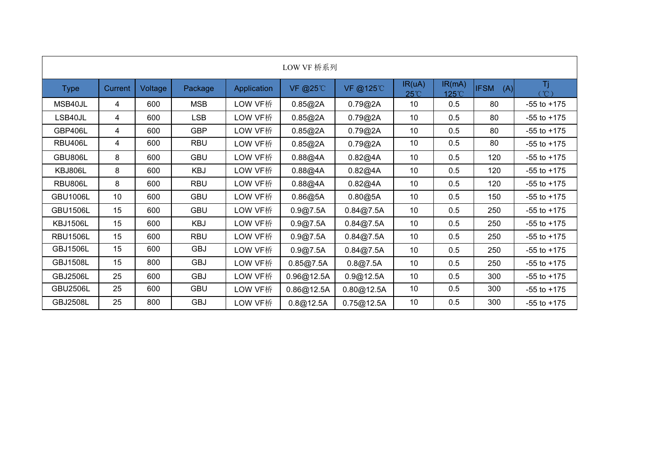|                 |         |         |            |             | LOW VF 桥系列 |            |                        |                 |          |                 |
|-----------------|---------|---------|------------|-------------|------------|------------|------------------------|-----------------|----------|-----------------|
| <b>Type</b>     | Current | Voltage | Package    | Application | VF @25°C   | VF @125°C  | IR(uA)<br>$25^{\circ}$ | IR(mA)<br>125°C | IFSM (A) | Τj<br>ີຕ        |
| MSB40JL         | 4       | 600     | <b>MSB</b> | LOW VF桥     | 0.85@2A    | 0.79@2A    | 10                     | 0.5             | 80       | $-55$ to $+175$ |
| LSB40JL         | 4       | 600     | <b>LSB</b> | LOW VF桥     | 0.85@2A    | 0.79@2A    | 10                     | 0.5             | 80       | $-55$ to $+175$ |
| GBP406L         | 4       | 600     | <b>GBP</b> | LOW VF桥     | 0.85@2A    | 0.79@2A    | 10                     | 0.5             | 80       | $-55$ to $+175$ |
| <b>RBU406L</b>  | 4       | 600     | <b>RBU</b> | LOW VF桥     | 0.85@2A    | 0.79@2A    | 10                     | 0.5             | 80       | $-55$ to $+175$ |
| GBU806L         | 8       | 600     | <b>GBU</b> | LOW VF桥     | 0.88@4A    | 0.82@4A    | 10                     | 0.5             | 120      | $-55$ to $+175$ |
| KBJ806L         | 8       | 600     | <b>KBJ</b> | LOW VF桥     | 0.88@4A    | 0.82@4A    | 10                     | 0.5             | 120      | $-55$ to $+175$ |
| <b>RBU806L</b>  | 8       | 600     | <b>RBU</b> | LOW VF桥     | 0.88@4A    | 0.82@4A    | 10                     | 0.5             | 120      | $-55$ to $+175$ |
| <b>GBU1006L</b> | 10      | 600     | <b>GBU</b> | LOW VF桥     | 0.86@5A    | 0.80@5A    | 10                     | 0.5             | 150      | $-55$ to $+175$ |
| <b>GBU1506L</b> | 15      | 600     | <b>GBU</b> | LOW VF桥     | 0.9@7.5A   | 0.84@7.5A  | 10                     | 0.5             | 250      | $-55$ to $+175$ |
| <b>KBJ1506L</b> | 15      | 600     | <b>KBJ</b> | LOW VF桥     | 0.9@7.5A   | 0.84@7.5A  | 10                     | 0.5             | 250      | $-55$ to $+175$ |
| <b>RBU1506L</b> | 15      | 600     | <b>RBU</b> | LOW VF桥     | 0.9@7.5A   | 0.84@7.5A  | 10                     | 0.5             | 250      | $-55$ to $+175$ |
| <b>GBJ1506L</b> | 15      | 600     | GBJ        | LOW VF桥     | 0.9@7.5A   | 0.84@7.5A  | 10                     | 0.5             | 250      | $-55$ to $+175$ |
| <b>GBJ1508L</b> | 15      | 800     | GBJ        | LOW VF桥     | 0.85@7.5A  | 0.8@7.5A   | 10                     | 0.5             | 250      | $-55$ to $+175$ |
| <b>GBJ2506L</b> | 25      | 600     | <b>GBJ</b> | LOW VF桥     | 0.96@12.5A | 0.9@12.5A  | 10                     | 0.5             | 300      | $-55$ to $+175$ |
| <b>GBU2506L</b> | 25      | 600     | <b>GBU</b> | LOW VF桥     | 0.86@12.5A | 0.80@12.5A | 10                     | 0.5             | 300      | $-55$ to $+175$ |
| <b>GBJ2508L</b> | 25      | 800     | <b>GBJ</b> | LOW VF桥     | 0.8@12.5A  | 0.75@12.5A | 10                     | 0.5             | 300      | $-55$ to $+175$ |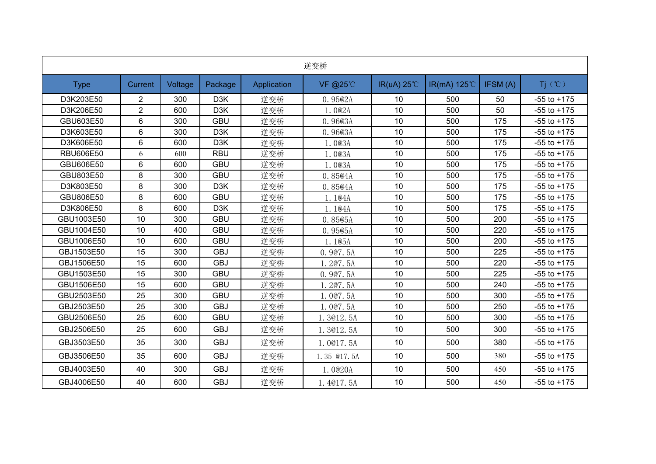|                  |                |         |                  |             | 逆变桥         |                     |                      |          |                 |
|------------------|----------------|---------|------------------|-------------|-------------|---------------------|----------------------|----------|-----------------|
| <b>Type</b>      | Current        | Voltage | Package          | Application | VF @25°C    | IR(uA) $25^{\circ}$ | IR(mA) $125^{\circ}$ | IFSM (A) | Ti (°C)         |
| D3K203E50        | $\overline{2}$ | 300     | D <sub>3</sub> K | 逆变桥         | 0.95@2A     | 10                  | 500                  | 50       | $-55$ to $+175$ |
| D3K206E50        | $\overline{2}$ | 600     | D <sub>3</sub> K | 逆变桥         | 1.0@2A      | 10                  | 500                  | 50       | $-55$ to $+175$ |
| GBU603E50        | 6              | 300     | <b>GBU</b>       | 逆变桥         | 0.9603A     | $10$                | 500                  | 175      | $-55$ to $+175$ |
| D3K603E50        | 6              | 300     | D <sub>3</sub> K | 逆变桥         | 0.9603A     | 10                  | 500                  | 175      | $-55$ to $+175$ |
| D3K606E50        | 6              | 600     | D <sub>3</sub> K | 逆变桥         | 1.003A      | 10                  | 500                  | 175      | $-55$ to $+175$ |
| <b>RBU606E50</b> | 6              | 600     | <b>RBU</b>       | 逆变桥         | 1.003A      | 10                  | 500                  | 175      | $-55$ to $+175$ |
| GBU606E50        | 6              | 600     | <b>GBU</b>       | 逆变桥         | 1.003A      | 10                  | 500                  | 175      | $-55$ to $+175$ |
| GBU803E50        | 8              | 300     | <b>GBU</b>       | 逆变桥         | 0.85@4A     | 10                  | 500                  | 175      | $-55$ to $+175$ |
| D3K803E50        | 8              | 300     | D <sub>3</sub> K | 逆变桥         | 0.85@4A     | 10                  | 500                  | 175      | $-55$ to $+175$ |
| GBU806E50        | 8              | 600     | <b>GBU</b>       | 逆变桥         | 1.1@4A      | $10$                | 500                  | 175      | $-55$ to $+175$ |
| D3K806E50        | 8              | 600     | D <sub>3</sub> K | 逆变桥         | 1.1@4A      | 10                  | 500                  | 175      | $-55$ to $+175$ |
| GBU1003E50       | 10             | 300     | <b>GBU</b>       | 逆变桥         | 0.8505A     | 10                  | 500                  | 200      | $-55$ to $+175$ |
| GBU1004E50       | 10             | 400     | <b>GBU</b>       | 逆变桥         | 0.9505A     | 10                  | 500                  | 220      | $-55$ to $+175$ |
| GBU1006E50       | 10             | 600     | <b>GBU</b>       | 逆变桥         | 1.105A      | 10                  | 500                  | 200      | $-55$ to $+175$ |
| GBJ1503E50       | 15             | 300     | <b>GBJ</b>       | 逆变桥         | 0.907.5A    | 10                  | 500                  | 225      | $-55$ to $+175$ |
| GBJ1506E50       | 15             | 600     | <b>GBJ</b>       | 逆变桥         | 1.207.5A    | 10                  | 500                  | 220      | $-55$ to $+175$ |
| GBU1503E50       | 15             | 300     | <b>GBU</b>       | 逆变桥         | 0.907.5A    | 10                  | 500                  | 225      | $-55$ to $+175$ |
| GBU1506E50       | 15             | 600     | <b>GBU</b>       | 逆变桥         | 1.207.5A    | 10                  | 500                  | 240      | $-55$ to $+175$ |
| GBU2503E50       | 25             | 300     | GBU              | 逆变桥         | 1.007.5A    | 10                  | 500                  | 300      | $-55$ to $+175$ |
| GBJ2503E50       | 25             | 300     | <b>GBJ</b>       | 逆变桥         | 1.007.5A    | 10                  | 500                  | 250      | $-55$ to $+175$ |
| GBU2506E50       | 25             | 600     | <b>GBU</b>       | 逆变桥         | .3@12.5A    | 10                  | 500                  | 300      | $-55$ to $+175$ |
| GBJ2506E50       | 25             | 600     | <b>GBJ</b>       | 逆变桥         | 1.3012.5A   | 10 <sup>°</sup>     | 500                  | 300      | $-55$ to $+175$ |
| GBJ3503E50       | 35             | 300     | <b>GBJ</b>       | 逆变桥         | 1.0017.5A   | 10 <sup>°</sup>     | 500                  | 380      | $-55$ to $+175$ |
| GBJ3506E50       | 35             | 600     | <b>GBJ</b>       | 逆变桥         | 1.35 @17.5A | 10 <sup>°</sup>     | 500                  | 380      | $-55$ to $+175$ |
| GBJ4003E50       | 40             | 300     | <b>GBJ</b>       | 逆变桥         | 1.0020A     | 10                  | 500                  | 450      | $-55$ to $+175$ |
| GBJ4006E50       | 40             | 600     | <b>GBJ</b>       | 逆变桥         | 1.4017.5A   | 10                  | 500                  | 450      | $-55$ to $+175$ |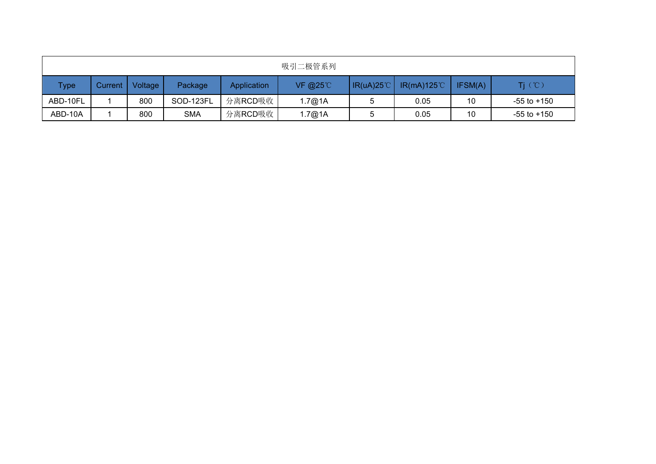|             |           |         |            |             | 吸引二极管系列    |                    |                     |         |                 |
|-------------|-----------|---------|------------|-------------|------------|--------------------|---------------------|---------|-----------------|
| <b>Type</b> | Current 1 | Voltage | Package    | Application | VF @25 $C$ | $IR(uA)25^{\circ}$ | $IR(mA)125^{\circ}$ | IFSM(A) | $Tj$ (°C)       |
| ABD-10FL    |           | 800     | SOD-123FL  | 分离RCD吸收     | 1.7@1A     |                    | 0.05                | 10      | $-55$ to $+150$ |
| ABD-10A     |           | 800     | <b>SMA</b> | 分离RCD吸收     | 1.7@1A     |                    | 0.05                | 10      | $-55$ to $+150$ |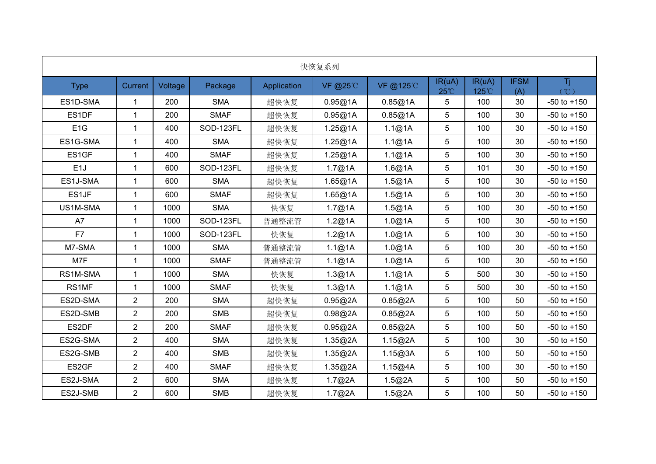| 快恢复系列            |                         |         |             |             |                 |          |                          |                 |                    |                 |
|------------------|-------------------------|---------|-------------|-------------|-----------------|----------|--------------------------|-----------------|--------------------|-----------------|
| <b>Type</b>      | Current                 | Voltage | Package     | Application | <b>VF @25°C</b> | VF @125℃ | IR(uA)<br>$25^{\circ}$ C | IR(uA)<br>125°C | <b>IFSM</b><br>(A) | Tj.<br>(C)      |
| ES1D-SMA         | $\overline{1}$          | 200     | <b>SMA</b>  | 超快恢复        | 0.95@1A         | 0.85@1A  | 5                        | 100             | 30                 | $-50$ to $+150$ |
| ES1DF            | 1                       | 200     | <b>SMAF</b> | 超快恢复        | 0.95@1A         | 0.85@1A  | 5                        | 100             | 30                 | $-50$ to $+150$ |
| E <sub>1</sub> G | $\overline{1}$          | 400     | SOD-123FL   | 超快恢复        | 1.25@1A         | 1.1@1A   | 5                        | 100             | 30                 | $-50$ to $+150$ |
| ES1G-SMA         | $\overline{1}$          | 400     | <b>SMA</b>  | 超快恢复        | 1.25@1A         | 1.1@1A   | 5                        | 100             | 30                 | $-50$ to $+150$ |
| ES1GF            | $\mathbf{1}$            | 400     | <b>SMAF</b> | 超快恢复        | 1.25@1A         | 1.1@1A   | 5                        | 100             | 30                 | $-50$ to $+150$ |
| E <sub>1</sub> J | $\blacktriangleleft$    | 600     | SOD-123FL   | 超快恢复        | 1.7@1A          | 1.6@1A   | 5                        | 101             | 30                 | $-50$ to $+150$ |
| ES1J-SMA         | $\overline{\mathbf{1}}$ | 600     | <b>SMA</b>  | 超快恢复        | 1.65@1A         | 1.5@1A   | 5                        | 100             | 30                 | $-50$ to $+150$ |
| ES1JF            | $\overline{1}$          | 600     | <b>SMAF</b> | 超快恢复        | 1.65@1A         | 1.5@1A   | 5                        | 100             | 30                 | $-50$ to $+150$ |
| US1M-SMA         | -1                      | 1000    | <b>SMA</b>  | 快恢复         | 1.7@1A          | 1.5@1A   | 5                        | 100             | 30                 | $-50$ to $+150$ |
| A7               | $\overline{1}$          | 1000    | SOD-123FL   | 普通整流管       | 1.2@1A          | 1.0@1A   | 5                        | 100             | 30                 | $-50$ to $+150$ |
| F7               | $\overline{\mathbf{1}}$ | 1000    | SOD-123FL   | 快恢复         | 1.2@1A          | 1.0@1A   | 5                        | 100             | 30                 | $-50$ to $+150$ |
| M7-SMA           | $\mathbf{1}$            | 1000    | <b>SMA</b>  | 普通整流管       | 1.1@1A          | 1.0@1A   | 5                        | 100             | 30                 | $-50$ to $+150$ |
| M7F              | $\overline{1}$          | 1000    | <b>SMAF</b> | 普通整流管       | 1.1@1A          | 1.0@1A   | 5                        | 100             | 30                 | $-50$ to $+150$ |
| RS1M-SMA         | $\overline{1}$          | 1000    | <b>SMA</b>  | 快恢复         | 1.3@1A          | 1.1@1A   | 5                        | 500             | 30                 | $-50$ to $+150$ |
| RS1MF            | $\overline{1}$          | 1000    | <b>SMAF</b> | 快恢复         | 1.3@1A          | 1.1@1A   | 5                        | 500             | 30                 | $-50$ to $+150$ |
| ES2D-SMA         | $\overline{2}$          | 200     | <b>SMA</b>  | 超快恢复        | 0.95@2A         | 0.85@2A  | 5                        | 100             | 50                 | $-50$ to $+150$ |
| ES2D-SMB         | $\overline{2}$          | 200     | <b>SMB</b>  | 超快恢复        | 0.98@2A         | 0.85@2A  | 5                        | 100             | 50                 | $-50$ to $+150$ |
| ES2DF            | $\overline{2}$          | 200     | <b>SMAF</b> | 超快恢复        | 0.95@2A         | 0.85@2A  | 5                        | 100             | 50                 | $-50$ to $+150$ |
| ES2G-SMA         | $\overline{2}$          | 400     | <b>SMA</b>  | 超快恢复        | 1.35@2A         | 1.15@2A  | 5                        | 100             | 30                 | $-50$ to $+150$ |
| ES2G-SMB         | $\overline{2}$          | 400     | <b>SMB</b>  | 超快恢复        | 1.35@2A         | 1.15@3A  | 5                        | 100             | 50                 | $-50$ to $+150$ |
| ES2GF            | $\overline{2}$          | 400     | <b>SMAF</b> | 超快恢复        | 1.35@2A         | 1.15@4A  | 5                        | 100             | 30                 | $-50$ to $+150$ |
| ES2J-SMA         | $\overline{2}$          | 600     | <b>SMA</b>  | 超快恢复        | 1.7@2A          | 1.5@2A   | 5                        | 100             | 50                 | $-50$ to $+150$ |
| ES2J-SMB         | $\overline{2}$          | 600     | SMB         | 超快恢复        | 1.7@2A          | 1.5@2A   | 5                        | 100             | 50                 | $-50$ to $+150$ |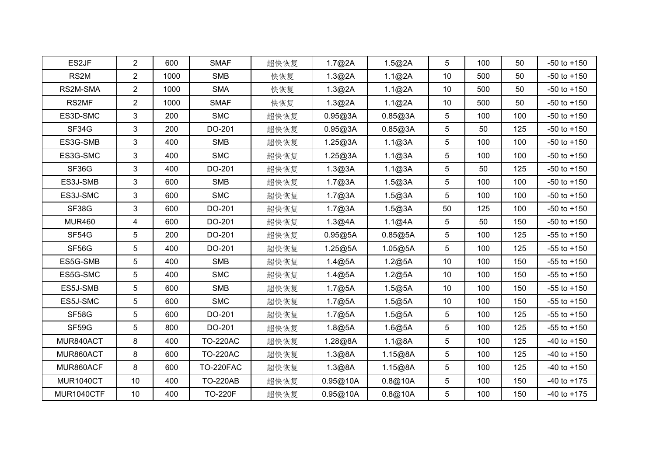| ES2JF            | 2              | 600  | <b>SMAF</b>      | 超快恢复 | 1.7@2A   | 1.5@2A  | 5               | 100 | 50  | $-50$ to $+150$ |
|------------------|----------------|------|------------------|------|----------|---------|-----------------|-----|-----|-----------------|
| RS2M             | $\overline{2}$ | 1000 | <b>SMB</b>       | 快恢复  | 1.3@2A   | 1.1@2A  | 10 <sup>°</sup> | 500 | 50  | $-50$ to $+150$ |
| RS2M-SMA         | $\overline{2}$ | 1000 | <b>SMA</b>       | 快恢复  | 1.3@2A   | 1.1@2A  | 10              | 500 | 50  | $-50$ to $+150$ |
| RS2MF            | $\overline{2}$ | 1000 | <b>SMAF</b>      | 快恢复  | 1.3@2A   | 1.1@2A  | 10              | 500 | 50  | $-50$ to $+150$ |
| ES3D-SMC         | $\mathbf{3}$   | 200  | <b>SMC</b>       | 超快恢复 | 0.95@3A  | 0.85@3A | 5               | 100 | 100 | $-50$ to $+150$ |
| SF34G            | 3              | 200  | DO-201           | 超快恢复 | 0.95@3A  | 0.85@3A | 5               | 50  | 125 | $-50$ to $+150$ |
| ES3G-SMB         | $\mathbf{3}$   | 400  | <b>SMB</b>       | 超快恢复 | 1.25@3A  | 1.1@3A  | 5               | 100 | 100 | $-50$ to $+150$ |
| ES3G-SMC         | 3              | 400  | <b>SMC</b>       | 超快恢复 | 1.25@3A  | 1.1@3A  | 5               | 100 | 100 | $-50$ to $+150$ |
| SF36G            | 3              | 400  | DO-201           | 超快恢复 | 1.3@3A   | 1.1@3A  | 5               | 50  | 125 | $-50$ to $+150$ |
| ES3J-SMB         | 3              | 600  | SMB              | 超快恢复 | 1.7@3A   | 1.5@3A  | 5               | 100 | 100 | $-50$ to $+150$ |
| ES3J-SMC         | 3              | 600  | <b>SMC</b>       | 超快恢复 | 1.7@3A   | 1.5@3A  | 5               | 100 | 100 | $-50$ to $+150$ |
| SF38G            | $\mathbf{3}$   | 600  | DO-201           | 超快恢复 | 1.7@3A   | 1.5@3A  | 50              | 125 | 100 | $-50$ to $+150$ |
| <b>MUR460</b>    | $\overline{4}$ | 600  | DO-201           | 超快恢复 | 1.3@4A   | 1.1@4A  | 5               | 50  | 150 | $-50$ to $+150$ |
| SF54G            | $\sqrt{5}$     | 200  | DO-201           | 超快恢复 | 0.95@5A  | 0.85@5A | 5               | 100 | 125 | $-55$ to $+150$ |
| SF56G            | 5              | 400  | DO-201           | 超快恢复 | 1.25@5A  | 1.05@5A | 5               | 100 | 125 | $-55$ to $+150$ |
| ES5G-SMB         | $\overline{5}$ | 400  | SMB              | 超快恢复 | 1.4@5A   | 1.2@5A  | 10 <sup>°</sup> | 100 | 150 | $-55$ to $+150$ |
| ES5G-SMC         | 5              | 400  | <b>SMC</b>       | 超快恢复 | 1.4@5A   | 1.2@5A  | 10 <sup>°</sup> | 100 | 150 | $-55$ to $+150$ |
| ES5J-SMB         | $\overline{5}$ | 600  | SMB              | 超快恢复 | 1.7@5A   | 1.5@5A  | 10              | 100 | 150 | $-55$ to $+150$ |
| ES5J-SMC         | 5              | 600  | <b>SMC</b>       | 超快恢复 | 1.7@5A   | 1.5@5A  | 10              | 100 | 150 | $-55$ to $+150$ |
| SF58G            | 5              | 600  | DO-201           | 超快恢复 | 1.7@5A   | 1.5@5A  | 5               | 100 | 125 | $-55$ to $+150$ |
| SF59G            | 5              | 800  | DO-201           | 超快恢复 | 1.8@5A   | 1.6@5A  | 5               | 100 | 125 | $-55$ to $+150$ |
| MUR840ACT        | 8              | 400  | <b>TO-220AC</b>  | 超快恢复 | 1.28@8A  | 1.1@8A  | 5               | 100 | 125 | $-40$ to $+150$ |
| MUR860ACT        | 8              | 600  | <b>TO-220AC</b>  | 超快恢复 | 1.3@8A   | 1.15@8A | 5               | 100 | 125 | $-40$ to $+150$ |
| MUR860ACF        | 8              | 600  | <b>TO-220FAC</b> | 超快恢复 | 1.3@8A   | 1.15@8A | 5               | 100 | 125 | $-40$ to $+150$ |
| <b>MUR1040CT</b> | 10             | 400  | <b>TO-220AB</b>  | 超快恢复 | 0.95@10A | 0.8@10A | 5               | 100 | 150 | $-40$ to $+175$ |
| MUR1040CTF       | 10             | 400  | <b>TO-220F</b>   | 超快恢复 | 0.95@10A | 0.8@10A | 5               | 100 | 150 | $-40$ to $+175$ |
|                  |                |      |                  |      |          |         |                 |     |     |                 |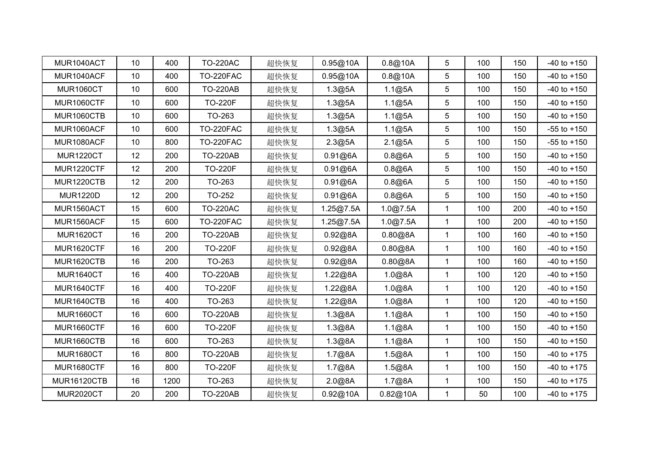| MUR1040ACT         | 10              | 400  | <b>TO-220AC</b>  | 超快恢复 | 0.95@10A  | 0.8@10A  | 5            | 100 | 150 | $-40$ to $+150$ |
|--------------------|-----------------|------|------------------|------|-----------|----------|--------------|-----|-----|-----------------|
| MUR1040ACF         | 10              | 400  | <b>TO-220FAC</b> | 超快恢复 | 0.95@10A  | 0.8@10A  | 5            | 100 | 150 | $-40$ to $+150$ |
| <b>MUR1060CT</b>   | 10              | 600  | <b>TO-220AB</b>  | 超快恢复 | 1.3@5A    | 1.1@5A   | 5            | 100 | 150 | $-40$ to $+150$ |
| <b>MUR1060CTF</b>  | 10              | 600  | <b>TO-220F</b>   | 超快恢复 | 1.3@5A    | 1.1@5A   | 5            | 100 | 150 | $-40$ to $+150$ |
| <b>MUR1060CTB</b>  | 10              | 600  | TO-263           | 超快恢复 | 1.3@5A    | 1.1@5A   | 5            | 100 | 150 | $-40$ to $+150$ |
| MUR1060ACF         | 10 <sup>°</sup> | 600  | <b>TO-220FAC</b> | 超快恢复 | 1.3@5A    | 1.1@5A   | 5            | 100 | 150 | $-55$ to $+150$ |
| MUR1080ACF         | 10              | 800  | <b>TO-220FAC</b> | 超快恢复 | 2.3@5A    | 2.1@5A   | 5            | 100 | 150 | $-55$ to $+150$ |
| <b>MUR1220CT</b>   | 12              | 200  | <b>TO-220AB</b>  | 超快恢复 | 0.91@6A   | 0.8@6A   | 5            | 100 | 150 | $-40$ to $+150$ |
| MUR1220CTF         | 12              | 200  | <b>TO-220F</b>   | 超快恢复 | 0.91@6A   | 0.8@6A   | 5            | 100 | 150 | $-40$ to $+150$ |
| MUR1220CTB         | 12              | 200  | TO-263           | 超快恢复 | 0.91@6A   | 0.8@6A   | 5            | 100 | 150 | $-40$ to $+150$ |
| <b>MUR1220D</b>    | 12              | 200  | TO-252           | 超快恢复 | 0.91@6A   | 0.8@6A   | 5            | 100 | 150 | $-40$ to $+150$ |
| MUR1560ACT         | 15              | 600  | <b>TO-220AC</b>  | 超快恢复 | 1.25@7.5A | 1.0@7.5A | 1            | 100 | 200 | $-40$ to $+150$ |
| MUR1560ACF         | 15              | 600  | <b>TO-220FAC</b> | 超快恢复 | 1.25@7.5A | 1.0@7.5A | $\mathbf{1}$ | 100 | 200 | $-40$ to $+150$ |
| <b>MUR1620CT</b>   | 16              | 200  | <b>TO-220AB</b>  | 超快恢复 | 0.92@8A   | 0.80@8A  | $\mathbf{1}$ | 100 | 160 | $-40$ to $+150$ |
| <b>MUR1620CTF</b>  | 16              | 200  | <b>TO-220F</b>   | 超快恢复 | 0.92@8A   | 0.80@8A  | $\mathbf{1}$ | 100 | 160 | $-40$ to $+150$ |
| MUR1620CTB         | 16              | 200  | TO-263           | 超快恢复 | 0.92@8A   | 0.80@8A  | $\mathbf{1}$ | 100 | 160 | $-40$ to $+150$ |
| <b>MUR1640CT</b>   | 16              | 400  | <b>TO-220AB</b>  | 超快恢复 | 1.22@8A   | 1.0@8A   | 1            | 100 | 120 | $-40$ to $+150$ |
| MUR1640CTF         | 16              | 400  | <b>TO-220F</b>   | 超快恢复 | 1.22@8A   | 1.0@8A   | 1            | 100 | 120 | $-40$ to $+150$ |
| MUR1640CTB         | 16              | 400  | TO-263           | 超快恢复 | 1.22@8A   | 1.0@8A   | 1            | 100 | 120 | $-40$ to $+150$ |
| <b>MUR1660CT</b>   | 16              | 600  | <b>TO-220AB</b>  | 超快恢复 | 1.3@8A    | 1.1@8A   | $\mathbf{1}$ | 100 | 150 | $-40$ to $+150$ |
| <b>MUR1660CTF</b>  | 16              | 600  | <b>TO-220F</b>   | 超快恢复 | 1.3@8A    | 1.1@8A   | $\mathbf{1}$ | 100 | 150 | $-40$ to $+150$ |
| <b>MUR1660CTB</b>  | 16              | 600  | TO-263           | 超快恢复 | 1.3@8A    | 1.1@8A   | $\mathbf{1}$ | 100 | 150 | $-40$ to $+150$ |
| <b>MUR1680CT</b>   | 16              | 800  | <b>TO-220AB</b>  | 超快恢复 | 1.7@8A    | 1.5@8A   | $\mathbf{1}$ | 100 | 150 | $-40$ to $+175$ |
| <b>MUR1680CTF</b>  | 16              | 800  | <b>TO-220F</b>   | 超快恢复 | 1.7@8A    | 1.5@8A   | 1            | 100 | 150 | $-40$ to $+175$ |
| <b>MUR16120CTB</b> | 16              | 1200 | TO-263           | 超快恢复 | 2.0@8A    | 1.7@8A   | 1            | 100 | 150 | $-40$ to $+175$ |
| <b>MUR2020CT</b>   | 20              | 200  | <b>TO-220AB</b>  | 超快恢复 | 0.92@10A  | 0.82@10A | $\mathbf 1$  | 50  | 100 | $-40$ to $+175$ |
|                    |                 |      |                  |      |           |          |              |     |     |                 |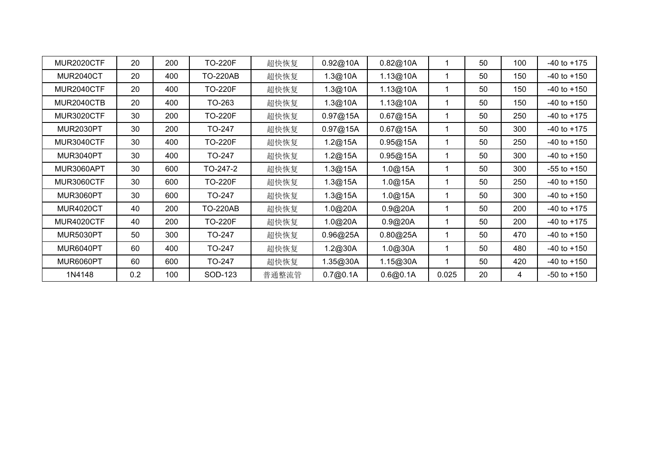| MUR2020CTF        | 20  | 200 | <b>TO-220F</b>  | 超快恢复  | 0.92@10A | 0.82@10A |       | 50 | 100 | $-40$ to $+175$ |
|-------------------|-----|-----|-----------------|-------|----------|----------|-------|----|-----|-----------------|
| <b>MUR2040CT</b>  | 20  | 400 | <b>TO-220AB</b> | 超快恢复  | 1.3@10A  | 1.13@10A |       | 50 | 150 | $-40$ to $+150$ |
| MUR2040CTF        | 20  | 400 | <b>TO-220F</b>  | 超快恢复  | 1.3@10A  | 1.13@10A |       | 50 | 150 | $-40$ to $+150$ |
| MUR2040CTB        | 20  | 400 | TO-263          | 超快恢复  | 1.3@10A  | 1.13@10A |       | 50 | 150 | $-40$ to $+150$ |
| <b>MUR3020CTF</b> | 30  | 200 | <b>TO-220F</b>  | 超快恢复  | 0.97@15A | 0.67@15A |       | 50 | 250 | $-40$ to $+175$ |
| MUR2030PT         | 30  | 200 | TO-247          | 超快恢复  | 0.97@15A | 0.67@15A |       | 50 | 300 | $-40$ to $+175$ |
| MUR3040CTF        | 30  | 400 | <b>TO-220F</b>  | 超快恢复  | 1.2@15A  | 0.95@15A |       | 50 | 250 | $-40$ to $+150$ |
| MUR3040PT         | 30  | 400 | TO-247          | 超快恢复  | 1.2@15A  | 0.95@15A |       | 50 | 300 | $-40$ to $+150$ |
| MUR3060APT        | 30  | 600 | TO-247-2        | 超快恢复  | 1.3@15A  | 1.0@15A  |       | 50 | 300 | $-55$ to $+150$ |
| MUR3060CTF        | 30  | 600 | <b>TO-220F</b>  | 超快恢复  | 1.3@15A  | 1.0@15A  |       | 50 | 250 | $-40$ to $+150$ |
| MUR3060PT         | 30  | 600 | TO-247          | 超快恢复  | 1.3@15A  | 1.0@15A  |       | 50 | 300 | $-40$ to $+150$ |
| <b>MUR4020CT</b>  | 40  | 200 | <b>TO-220AB</b> | 超快恢复  | 1.0@20A  | 0.9@20A  |       | 50 | 200 | $-40$ to $+175$ |
| MUR4020CTF        | 40  | 200 | <b>TO-220F</b>  | 超快恢复  | 1.0@20A  | 0.9@20A  |       | 50 | 200 | $-40$ to $+175$ |
| <b>MUR5030PT</b>  | 50  | 300 | TO-247          | 超快恢复  | 0.96@25A | 0.80@25A |       | 50 | 470 | $-40$ to $+150$ |
| MUR6040PT         | 60  | 400 | TO-247          | 超快恢复  | 1.2@30A  | 1.0@30A  |       | 50 | 480 | $-40$ to $+150$ |
| MUR6060PT         | 60  | 600 | TO-247          | 超快恢复  | 1.35@30A | 1.15@30A |       | 50 | 420 | $-40$ to $+150$ |
| 1N4148            | 0.2 | 100 | SOD-123         | 普通整流管 | 0.7@0.1A | 0.6@0.1A | 0.025 | 20 | 4   | $-50$ to $+150$ |